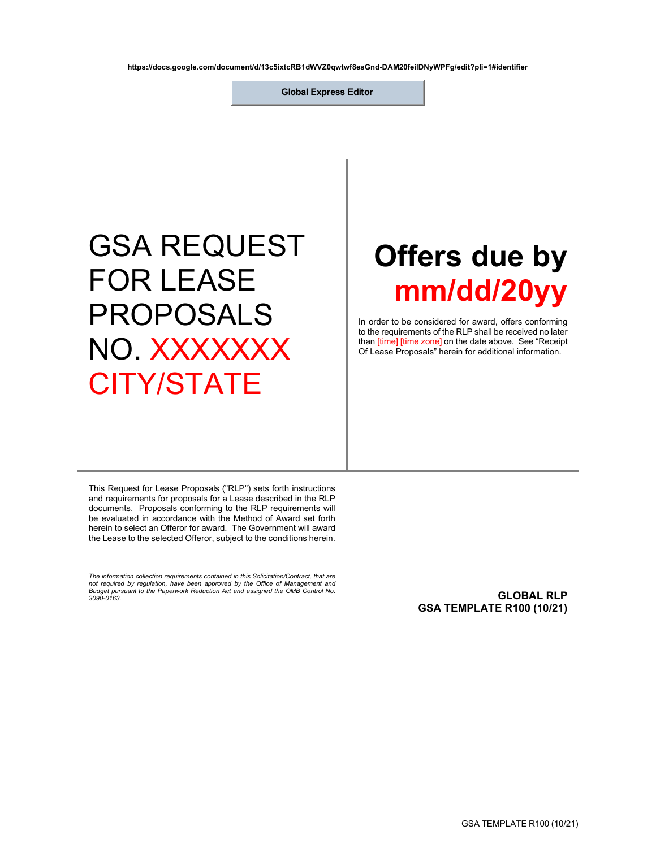**https://docs.google.com/document/d/13c5ixtcRB1dWVZ0qwtwf8esGnd-DAM20feilDNyWPFg/edit?pli=1#identifier**

**Global Express Editor**

## GSA REQUEST FOR LEASE PROPOSALS NO XXXXXXX CITY/STATE

# **Offers due by mm/dd/20yy**

In order to be considered for award, offers conforming to the requirements of the RLP shall be received no later than [time] [time zone] on the date above. See "Receipt Of Lease Proposals" herein for additional information.

This Request for Lease Proposals ("RLP") sets forth instructions and requirements for proposals for a Lease described in the RLP documents. Proposals conforming to the RLP requirements will be evaluated in accordance with the Method of Award set forth herein to select an Offeror for award. The Government will award the Lease to the selected Offeror, subject to the conditions herein.

*The information collection requirements contained in this Solicitation/Contract, that are not required by regulation, have been approved by the Office of Management and Budget pursuant to the Paperwork Reduction Act and assigned the OMB Control No.* 

<span id="page-0-0"></span>*3090-0163.* **GLOBAL RLP GSA TEMPLATE R100 (10/21)**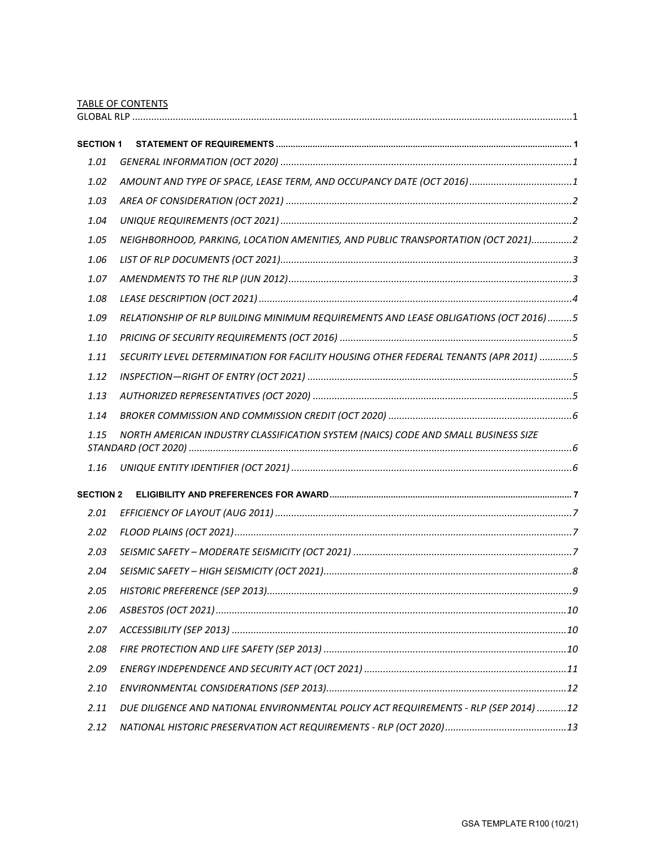TABLE OF CONTENTS

| <b>SECTION 1</b> |                                                                                      |  |
|------------------|--------------------------------------------------------------------------------------|--|
| 1.01             |                                                                                      |  |
| 1.02             | AMOUNT AND TYPE OF SPACE, LEASE TERM, AND OCCUPANCY DATE (OCT 2016)1                 |  |
| 1.03             |                                                                                      |  |
| 1.04             |                                                                                      |  |
| 1.05             | NEIGHBORHOOD, PARKING, LOCATION AMENITIES, AND PUBLIC TRANSPORTATION (OCT 2021)2     |  |
| 1.06             |                                                                                      |  |
| 1.07             |                                                                                      |  |
| 1.08             |                                                                                      |  |
| 1.09             | RELATIONSHIP OF RLP BUILDING MINIMUM REQUIREMENTS AND LEASE OBLIGATIONS (OCT 2016)5  |  |
| 1.10             |                                                                                      |  |
| 1.11             | SECURITY LEVEL DETERMINATION FOR FACILITY HOUSING OTHER FEDERAL TENANTS (APR 2011) 5 |  |
| 1.12             |                                                                                      |  |
| 1.13             |                                                                                      |  |
| 1.14             |                                                                                      |  |
| 1.15             | NORTH AMERICAN INDUSTRY CLASSIFICATION SYSTEM (NAICS) CODE AND SMALL BUSINESS SIZE   |  |
| 1.16             |                                                                                      |  |
| <b>SECTION 2</b> |                                                                                      |  |
| 2.01             |                                                                                      |  |
| 2.02             |                                                                                      |  |
| 2.03             |                                                                                      |  |
| 2.04             |                                                                                      |  |
| 2.05             |                                                                                      |  |
| 2.06             |                                                                                      |  |
| 2.07             |                                                                                      |  |
| 2.08             |                                                                                      |  |
| 2.09             |                                                                                      |  |
| 2.10             |                                                                                      |  |
| 2.11             | DUE DILIGENCE AND NATIONAL ENVIRONMENTAL POLICY ACT REQUIREMENTS - RLP (SEP 2014) 12 |  |
| 2.12             |                                                                                      |  |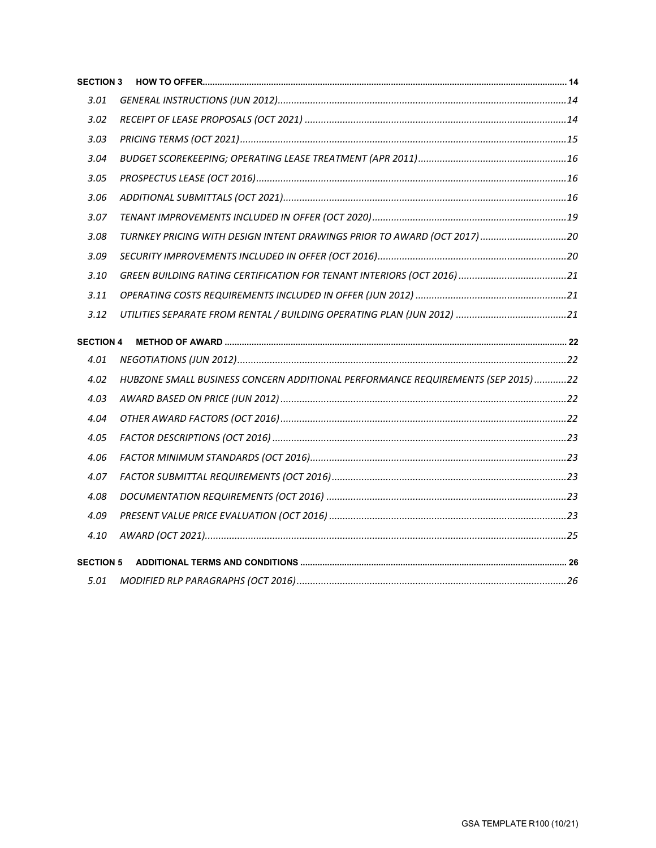| <b>SECTION 3</b> |                                                                                 |  |
|------------------|---------------------------------------------------------------------------------|--|
| 3.01             |                                                                                 |  |
| 3.02             |                                                                                 |  |
| 3.03             |                                                                                 |  |
| 3.04             |                                                                                 |  |
| 3.05             |                                                                                 |  |
| 3.06             |                                                                                 |  |
| 3.07             |                                                                                 |  |
| 3.08             | TURNKEY PRICING WITH DESIGN INTENT DRAWINGS PRIOR TO AWARD (OCT 2017)20         |  |
| 3.09             |                                                                                 |  |
| 3.10             |                                                                                 |  |
| 3.11             |                                                                                 |  |
| 3.12             |                                                                                 |  |
| <b>SECTION 4</b> |                                                                                 |  |
| 4.01             |                                                                                 |  |
| 4.02             | HUBZONE SMALL BUSINESS CONCERN ADDITIONAL PERFORMANCE REQUIREMENTS (SEP 2015)22 |  |
| 4.03             |                                                                                 |  |
| 4.04             |                                                                                 |  |
| 4.05             |                                                                                 |  |
| 4.06             |                                                                                 |  |
| 4.07             |                                                                                 |  |
| 4.08             |                                                                                 |  |
| 4.09             |                                                                                 |  |
| 4.10             |                                                                                 |  |
| <b>SECTION 5</b> |                                                                                 |  |
| 5.01             |                                                                                 |  |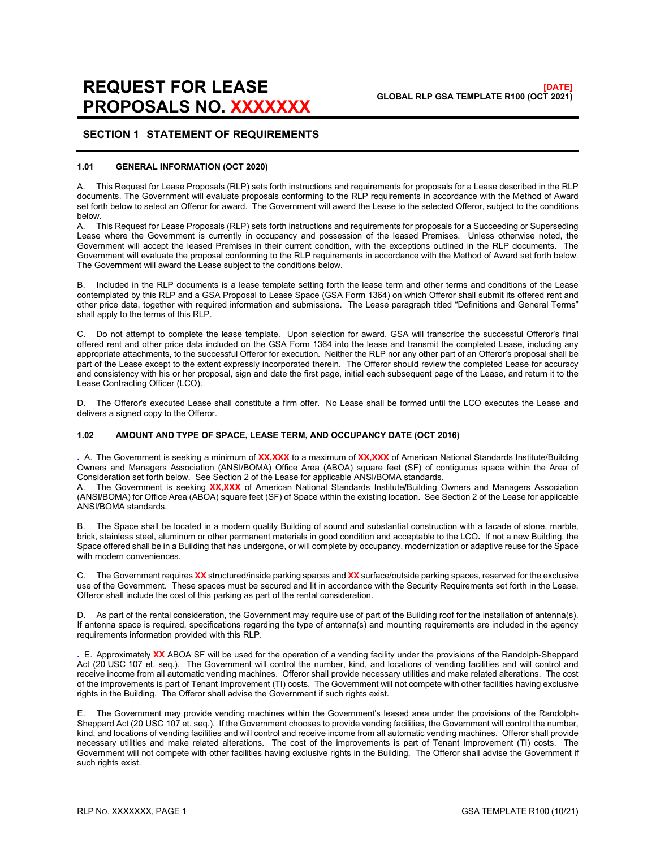#### <span id="page-3-0"></span>**SECTION 1 STATEMENT OF REQUIREMENTS**

#### <span id="page-3-1"></span>**1.01 GENERAL INFORMATION (OCT 2020)**

A. This Request for Lease Proposals (RLP) sets forth instructions and requirements for proposals for a Lease described in the RLP documents. The Government will evaluate proposals conforming to the RLP requirements in accordance with the Method of Award set forth below to select an Offeror for award. The Government will award the Lease to the selected Offeror, subject to the conditions below.

A. This Request for Lease Proposals (RLP) sets forth instructions and requirements for proposals for a Succeeding or Superseding Lease where the Government is currently in occupancy and possession of the leased Premises. Unless otherwise noted, the Government will accept the leased Premises in their current condition, with the exceptions outlined in the RLP documents. The Government will evaluate the proposal conforming to the RLP requirements in accordance with the Method of Award set forth below. The Government will award the Lease subject to the conditions below.

B. Included in the RLP documents is a lease template setting forth the lease term and other terms and conditions of the Lease contemplated by this RLP and a GSA Proposal to Lease Space (GSA Form 1364) on which Offeror shall submit its offered rent and other price data, together with required information and submissions. The Lease paragraph titled "Definitions and General Terms" shall apply to the terms of this RLP.

C. Do not attempt to complete the lease template. Upon selection for award, GSA will transcribe the successful Offeror's final offered rent and other price data included on the GSA Form 1364 into the lease and transmit the completed Lease, including any appropriate attachments, to the successful Offeror for execution. Neither the RLP nor any other part of an Offeror's proposal shall be part of the Lease except to the extent expressly incorporated therein. The Offeror should review the completed Lease for accuracy and consistency with his or her proposal, sign and date the first page, initial each subsequent page of the Lease, and return it to the Lease Contracting Officer (LCO).

D. The Offeror's executed Lease shall constitute a firm offer. No Lease shall be formed until the LCO executes the Lease and delivers a signed copy to the Offeror.

#### <span id="page-3-2"></span>**1.02 AMOUNT AND TYPE OF SPACE, LEASE TERM, AND OCCUPANCY DATE (OCT 2016)**

**.** A. The Government is seeking a minimum of **XX,XXX** to a maximum of **XX,XXX** of American National Standards Institute/Building Owners and Managers Association (ANSI/BOMA) Office Area (ABOA) square feet (SF) of contiguous space within the Area of Consideration set forth below. See Section 2 of the Lease for applicable ANSI/BOMA standards.<br>A The Government is seeking **XXXXX** of American National Standards Institute/Building C

A. The Government is seeking **XX,XXX** of American National Standards Institute**/**Building Owners and Managers Association (ANSI**/**BOMA) for Office Area (ABOA) square feet (SF) of Space within the existing location. See Section 2 of the Lease for applicable ANSI/BOMA standards.

B. The Space shall be located in a modern quality Building of sound and substantial construction with a facade of stone, marble, brick, stainless steel, aluminum or other permanent materials in good condition and acceptable to the LCO**.** If not a new Building, the Space offered shall be in a Building that has undergone, or will complete by occupancy, modernization or adaptive reuse for the Space with modern conveniences.

C. The Government requires **XX** structured/inside parking spaces and **XX** surface/outside parking spaces, reserved for the exclusive use of the Government. These spaces must be secured and lit in accordance with the Security Requirements set forth in the Lease. Offeror shall include the cost of this parking as part of the rental consideration.

D. As part of the rental consideration, the Government may require use of part of the Building roof for the installation of antenna(s). If antenna space is required, specifications regarding the type of antenna(s) and mounting requirements are included in the agency requirements information provided with this RLP.

**.** E. Approximately **XX** ABOA SF will be used for the operation of a vending facility under the provisions of the Randolph-Sheppard Act (20 USC 107 et. seq.). The Government will control the number, kind, and locations of vending facilities and will control and receive income from all automatic vending machines. Offeror shall provide necessary utilities and make related alterations. The cost of the improvements is part of Tenant Improvement (TI) costs. The Government will not compete with other facilities having exclusive rights in the Building. The Offeror shall advise the Government if such rights exist.

E. The Government may provide vending machines within the Government's leased area under the provisions of the Randolph-Sheppard Act (20 USC 107 et. seq.). If the Government chooses to provide vending facilities, the Government will control the number, kind, and locations of vending facilities and will control and receive income from all automatic vending machines. Offeror shall provide necessary utilities and make related alterations. The cost of the improvements is part of Tenant Improvement (TI) costs. The Government will not compete with other facilities having exclusive rights in the Building. The Offeror shall advise the Government if such rights exist.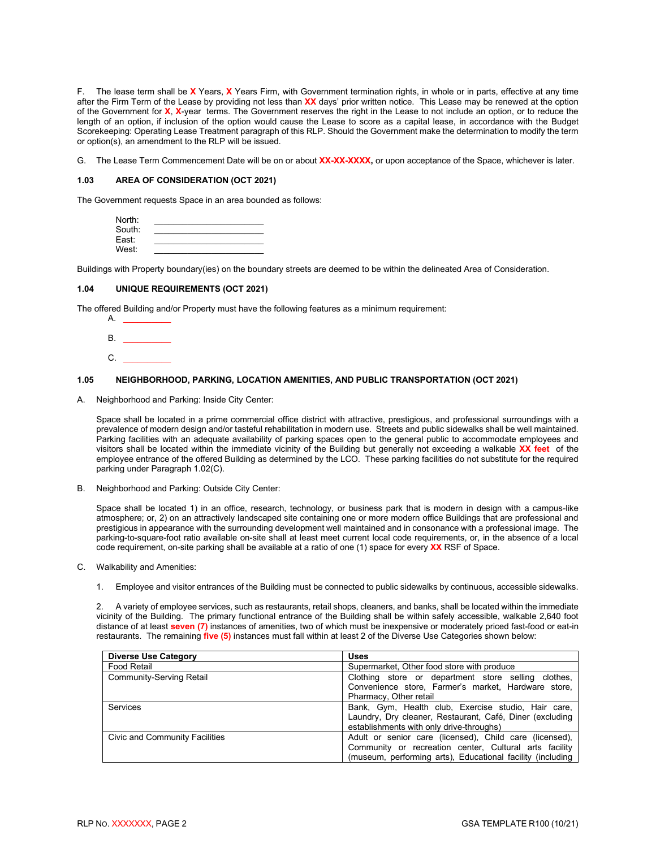F. The lease term shall be **X** Years, **X** Years Firm, with Government termination rights, in whole or in parts, effective at any time after the Firm Term of the Lease by providing not less than **XX** days' prior written notice. This Lease may be renewed at the option of the Government for **X**, **X**-year terms. The Government reserves the right in the Lease to not include an option, or to reduce the length of an option, if inclusion of the option would cause the Lease to score as a capital lease, in accordance with the Budget Scorekeeping: Operating Lease Treatment paragraph of this RLP. Should the Government make the determination to modify the term or option(s), an amendment to the RLP will be issued.

G. The Lease Term Commencement Date will be on or about **XX-XX-XXXX,** or upon acceptance of the Space, whichever is later.

#### <span id="page-4-0"></span>**1.03 AREA OF CONSIDERATION (OCT 2021)**

The Government requests Space in an area bounded as follows:

| North: |  |
|--------|--|
| South: |  |
| East:  |  |
| West:  |  |

Buildings with Property boundary(ies) on the boundary streets are deemed to be within the delineated Area of Consideration.

#### **1.04 UNIQUE REQUIREMENTS (OCT 2021)**

The offered Building and/or Property must have the following features as a minimum requirement:

<span id="page-4-1"></span>

#### <span id="page-4-2"></span>**1.05 NEIGHBORHOOD, PARKING, LOCATION AMENITIES, AND PUBLIC TRANSPORTATION (OCT 2021)**

A. Neighborhood and Parking: Inside City Center:

Space shall be located in a prime commercial office district with attractive, prestigious, and professional surroundings with a prevalence of modern design and/or tasteful rehabilitation in modern use. Streets and public sidewalks shall be well maintained. Parking facilities with an adequate availability of parking spaces open to the general public to accommodate employees and visitors shall be located within the immediate vicinity of the Building but generally not exceeding a walkable **XX feet** of the employee entrance of the offered Building as determined by the LCO. These parking facilities do not substitute for the required parking under Paragraph 1.02(C).

B. Neighborhood and Parking: Outside City Center:

Space shall be located 1) in an office, research, technology, or business park that is modern in design with a campus-like atmosphere; or, 2) on an attractively landscaped site containing one or more modern office Buildings that are professional and prestigious in appearance with the surrounding development well maintained and in consonance with a professional image. The parking-to-square-foot ratio available on-site shall at least meet current local code requirements, or, in the absence of a local code requirement, on-site parking shall be available at a ratio of one (1) space for every **XX** RSF of Space.

- C. Walkability and Amenities:
	- 1. Employee and visitor entrances of the Building must be connected to public sidewalks by continuous, accessible sidewalks.

2. A variety of employee services, such as restaurants, retail shops, cleaners, and banks, shall be located within the immediate vicinity of the Building. The primary functional entrance of the Building shall be within safely accessible, walkable 2,640 foot distance of at least **seven (7)** instances of amenities, two of which must be inexpensive or moderately priced fast-food or eat-in restaurants. The remaining **five (5)** instances must fall within at least 2 of the Diverse Use Categories shown below:

| <b>Diverse Use Category</b>    | Uses                                                                                                                                                                            |  |  |
|--------------------------------|---------------------------------------------------------------------------------------------------------------------------------------------------------------------------------|--|--|
| <b>Food Retail</b>             | Supermarket, Other food store with produce                                                                                                                                      |  |  |
| Community-Serving Retail       | Clothing store or department store selling clothes,<br>Convenience store, Farmer's market, Hardware store,<br>Pharmacy, Other retail                                            |  |  |
| Services                       | Bank, Gym, Health club, Exercise studio, Hair care,<br>Laundry, Dry cleaner, Restaurant, Café, Diner (excluding<br>establishments with only drive-throughs)                     |  |  |
| Civic and Community Facilities | Adult or senior care (licensed), Child care (licensed),<br>Community or recreation center, Cultural arts facility<br>(museum, performing arts), Educational facility (including |  |  |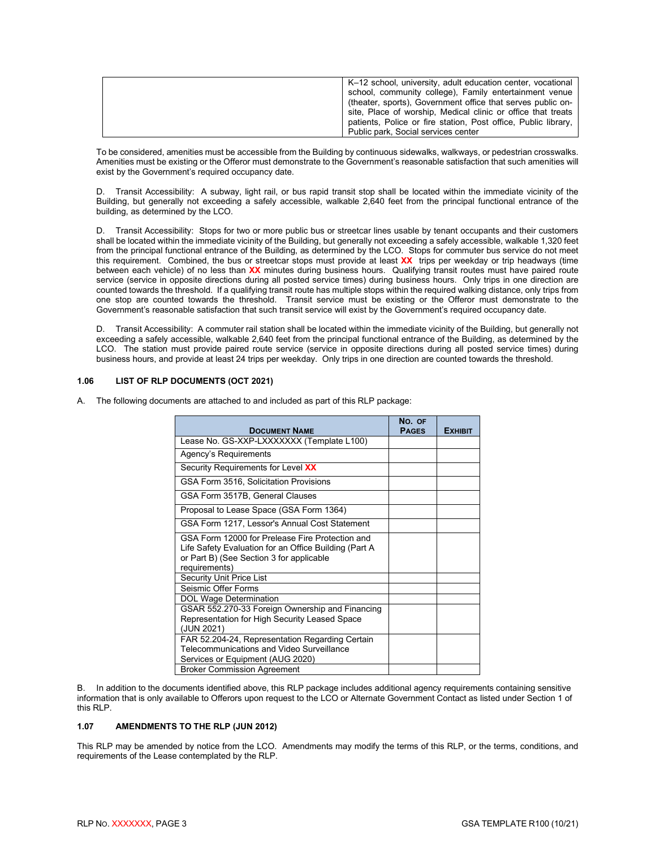| K-12 school, university, adult education center, vocational    |
|----------------------------------------------------------------|
| school, community college), Family entertainment venue         |
| (theater, sports), Government office that serves public on-    |
| site, Place of worship, Medical clinic or office that treats   |
| patients, Police or fire station, Post office, Public library, |
| Public park, Social services center                            |

To be considered, amenities must be accessible from the Building by continuous sidewalks, walkways, or pedestrian crosswalks. Amenities must be existing or the Offeror must demonstrate to the Government's reasonable satisfaction that such amenities will exist by the Government's required occupancy date.

D. Transit Accessibility: A subway, light rail, or bus rapid transit stop shall be located within the immediate vicinity of the Building, but generally not exceeding a safely accessible, walkable 2,640 feet from the principal functional entrance of the building, as determined by the LCO.

D. Transit Accessibility: Stops for two or more public bus or streetcar lines usable by tenant occupants and their customers shall be located within the immediate vicinity of the Building, but generally not exceeding a safely accessible, walkable 1,320 feet from the principal functional entrance of the Building, as determined by the LCO. Stops for commuter bus service do not meet this requirement. Combined, the bus or streetcar stops must provide at least **XX** trips per weekday or trip headways (time between each vehicle) of no less than **XX** minutes during business hours. Qualifying transit routes must have paired route service (service in opposite directions during all posted service times) during business hours. Only trips in one direction are counted towards the threshold. If a qualifying transit route has multiple stops within the required walking distance, only trips from one stop are counted towards the threshold. Transit service must be existing or the Offeror must demonstrate to the Government's reasonable satisfaction that such transit service will exist by the Government's required occupancy date.

D. Transit Accessibility: A commuter rail station shall be located within the immediate vicinity of the Building, but generally not exceeding a safely accessible, walkable 2,640 feet from the principal functional entrance of the Building, as determined by the LCO. The station must provide paired route service (service in opposite directions during all posted service times) during business hours, and provide at least 24 trips per weekday. Only trips in one direction are counted towards the threshold.

#### <span id="page-5-0"></span>**1.06 LIST OF RLP DOCUMENTS (OCT 2021)**

A. The following documents are attached to and included as part of this RLP package:

|                                                                                                                                                                       | NO. OF       |                |
|-----------------------------------------------------------------------------------------------------------------------------------------------------------------------|--------------|----------------|
| <b>DOCUMENT NAME</b>                                                                                                                                                  | <b>PAGES</b> | <b>EXHIBIT</b> |
| Lease No. GS-XXP-LXXXXXXX (Template L100)                                                                                                                             |              |                |
| Agency's Requirements                                                                                                                                                 |              |                |
| Security Requirements for Level XX                                                                                                                                    |              |                |
| GSA Form 3516, Solicitation Provisions                                                                                                                                |              |                |
| GSA Form 3517B, General Clauses                                                                                                                                       |              |                |
| Proposal to Lease Space (GSA Form 1364)                                                                                                                               |              |                |
| GSA Form 1217, Lessor's Annual Cost Statement                                                                                                                         |              |                |
| GSA Form 12000 for Prelease Fire Protection and<br>Life Safety Evaluation for an Office Building (Part A<br>or Part B) (See Section 3 for applicable<br>requirements) |              |                |
| <b>Security Unit Price List</b>                                                                                                                                       |              |                |
| Seismic Offer Forms                                                                                                                                                   |              |                |
| <b>DOL Wage Determination</b>                                                                                                                                         |              |                |
| GSAR 552.270-33 Foreign Ownership and Financing<br>Representation for High Security Leased Space<br>(JUN 2021)                                                        |              |                |
| FAR 52.204-24, Representation Regarding Certain<br>Telecommunications and Video Surveillance<br>Services or Equipment (AUG 2020)                                      |              |                |
| <b>Broker Commission Agreement</b>                                                                                                                                    |              |                |

B. In addition to the documents identified above, this RLP package includes additional agency requirements containing sensitive information that is only available to Offerors upon request to the LCO or Alternate Government Contact as listed under Section 1 of this RLP.

#### <span id="page-5-1"></span>**1.07 AMENDMENTS TO THE RLP (JUN 2012)**

This RLP may be amended by notice from the LCO. Amendments may modify the terms of this RLP, or the terms, conditions, and requirements of the Lease contemplated by the RLP.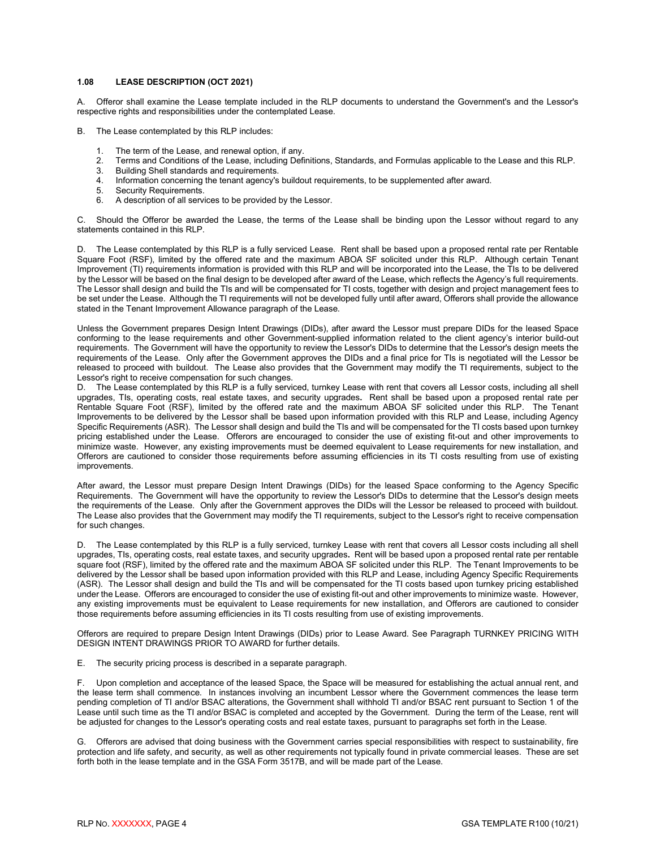#### <span id="page-6-0"></span>**1.08 LEASE DESCRIPTION (OCT 2021)**

A. Offeror shall examine the Lease template included in the RLP documents to understand the Government's and the Lessor's respective rights and responsibilities under the contemplated Lease.

- B. The Lease contemplated by this RLP includes:
	- The term of the Lease, and renewal option, if any.
	- 2. Terms and Conditions of the Lease, including Definitions, Standards, and Formulas applicable to the Lease and this RLP.
	- 3. Building Shell standards and requirements.<br>4. Information concerning the tenant agency's
	- 4. Information concerning the tenant agency's buildout requirements, to be supplemented after award.
	- Security Requirements.
	- 6. A description of all services to be provided by the Lessor.

C. Should the Offeror be awarded the Lease, the terms of the Lease shall be binding upon the Lessor without regard to any statements contained in this RLP.

D. The Lease contemplated by this RLP is a fully serviced Lease. Rent shall be based upon a proposed rental rate per Rentable Square Foot (RSF), limited by the offered rate and the maximum ABOA SF solicited under this RLP. Although certain Tenant Improvement (TI) requirements information is provided with this RLP and will be incorporated into the Lease, the TIs to be delivered by the Lessor will be based on the final design to be developed after award of the Lease, which reflects the Agency's full requirements. The Lessor shall design and build the TIs and will be compensated for TI costs, together with design and project management fees to be set under the Lease. Although the TI requirements will not be developed fully until after award, Offerors shall provide the allowance stated in the Tenant Improvement Allowance paragraph of the Lease.

Unless the Government prepares Design Intent Drawings (DIDs), after award the Lessor must prepare DIDs for the leased Space conforming to the lease requirements and other Government-supplied information related to the client agency's interior build-out requirements. The Government will have the opportunity to review the Lessor's DIDs to determine that the Lessor's design meets the requirements of the Lease. Only after the Government approves the DIDs and a final price for TIs is negotiated will the Lessor be released to proceed with buildout. The Lease also provides that the Government may modify the TI requirements, subject to the Lessor's right to receive compensation for such changes.

D. The Lease contemplated by this RLP is a fully serviced, turnkey Lease with rent that covers all Lessor costs, including all shell upgrades, TIs, operating costs, real estate taxes, and security upgrades**.** Rent shall be based upon a proposed rental rate per Rentable Square Foot (RSF), limited by the offered rate and the maximum ABOA SF solicited under this RLP. The Tenant Improvements to be delivered by the Lessor shall be based upon information provided with this RLP and Lease, including Agency Specific Requirements (ASR). The Lessor shall design and build the TIs and will be compensated for the TI costs based upon turnkey pricing established under the Lease. Offerors are encouraged to consider the use of existing fit-out and other improvements to minimize waste. However, any existing improvements must be deemed equivalent to Lease requirements for new installation, and Offerors are cautioned to consider those requirements before assuming efficiencies in its TI costs resulting from use of existing improvements.

After award, the Lessor must prepare Design Intent Drawings (DIDs) for the leased Space conforming to the Agency Specific Requirements. The Government will have the opportunity to review the Lessor's DIDs to determine that the Lessor's design meets the requirements of the Lease. Only after the Government approves the DIDs will the Lessor be released to proceed with buildout. The Lease also provides that the Government may modify the TI requirements, subject to the Lessor's right to receive compensation for such changes.

D. The Lease contemplated by this RLP is a fully serviced, turnkey Lease with rent that covers all Lessor costs including all shell upgrades, TIs, operating costs, real estate taxes, and security upgrades**.** Rent will be based upon a proposed rental rate per rentable square foot (RSF), limited by the offered rate and the maximum ABOA SF solicited under this RLP. The Tenant Improvements to be delivered by the Lessor shall be based upon information provided with this RLP and Lease, including Agency Specific Requirements (ASR). The Lessor shall design and build the TIs and will be compensated for the TI costs based upon turnkey pricing established under the Lease. Offerors are encouraged to consider the use of existing fit-out and other improvements to minimize waste. However, any existing improvements must be equivalent to Lease requirements for new installation, and Offerors are cautioned to consider those requirements before assuming efficiencies in its TI costs resulting from use of existing improvements.

Offerors are required to prepare Design Intent Drawings (DIDs) prior to Lease Award. See Paragraph TURNKEY PRICING WITH DESIGN INTENT DRAWINGS PRIOR TO AWARD for further details.

E. The security pricing process is described in a separate paragraph.

F. Upon completion and acceptance of the leased Space, the Space will be measured for establishing the actual annual rent, and the lease term shall commence. In instances involving an incumbent Lessor where the Government commences the lease term pending completion of TI and/or BSAC alterations, the Government shall withhold TI and/or BSAC rent pursuant to Section 1 of the Lease until such time as the TI and/or BSAC is completed and accepted by the Government. During the term of the Lease, rent will be adjusted for changes to the Lessor's operating costs and real estate taxes, pursuant to paragraphs set forth in the Lease.

G. Offerors are advised that doing business with the Government carries special responsibilities with respect to sustainability, fire protection and life safety, and security, as well as other requirements not typically found in private commercial leases. These are set forth both in the lease template and in the GSA Form 3517B, and will be made part of the Lease.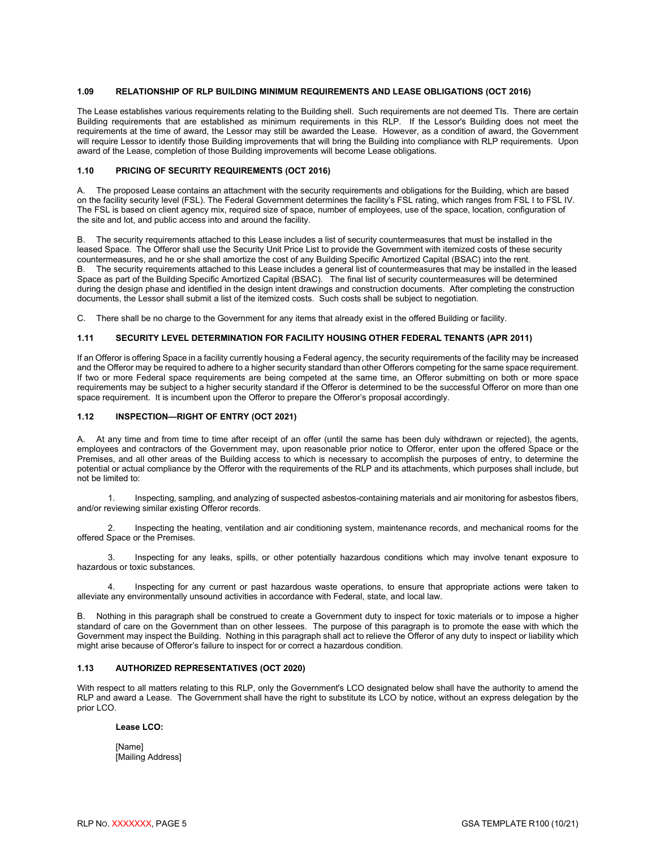#### <span id="page-7-0"></span>**1.09 RELATIONSHIP OF RLP BUILDING MINIMUM REQUIREMENTS AND LEASE OBLIGATIONS (OCT 2016)**

The Lease establishes various requirements relating to the Building shell. Such requirements are not deemed TIs. There are certain Building requirements that are established as minimum requirements in this RLP. If the Lessor's Building does not meet the requirements at the time of award, the Lessor may still be awarded the Lease. However, as a condition of award, the Government will require Lessor to identify those Building improvements that will bring the Building into compliance with RLP requirements. Upon award of the Lease, completion of those Building improvements will become Lease obligations.

#### <span id="page-7-1"></span>**1.10 PRICING OF SECURITY REQUIREMENTS (OCT 2016)**

A. The proposed Lease contains an attachment with the security requirements and obligations for the Building, which are based on the facility security level (FSL). The Federal Government determines the facility's FSL rating, which ranges from FSL I to FSL IV. The FSL is based on client agency mix, required size of space, number of employees, use of the space, location, configuration of the site and lot, and public access into and around the facility.

B. The security requirements attached to this Lease includes a list of security countermeasures that must be installed in the leased Space. The Offeror shall use the Security Unit Price List to provide the Government with itemized costs of these security countermeasures, and he or she shall amortize the cost of any Building Specific Amortized Capital (BSAC) into the rent. B. The security requirements attached to this Lease includes a general list of countermeasures that may be installed in the leased Space as part of the Building Specific Amortized Capital (BSAC). The final list of security countermeasures will be determined during the design phase and identified in the design intent drawings and construction documents. After completing the construction documents, the Lessor shall submit a list of the itemized costs. Such costs shall be subject to negotiation.

C. There shall be no charge to the Government for any items that already exist in the offered Building or facility.

#### <span id="page-7-2"></span>**1.11 SECURITY LEVEL DETERMINATION FOR FACILITY HOUSING OTHER FEDERAL TENANTS (APR 2011)**

If an Offeror is offering Space in a facility currently housing a Federal agency, the security requirements of the facility may be increased and the Offeror may be required to adhere to a higher security standard than other Offerors competing for the same space requirement. If two or more Federal space requirements are being competed at the same time, an Offeror submitting on both or more space requirements may be subject to a higher security standard if the Offeror is determined to be the successful Offeror on more than one space requirement. It is incumbent upon the Offeror to prepare the Offeror's proposal accordingly.

#### <span id="page-7-3"></span>**1.12 INSPECTION—RIGHT OF ENTRY (OCT 2021)**

A. At any time and from time to time after receipt of an offer (until the same has been duly withdrawn or rejected), the agents, employees and contractors of the Government may, upon reasonable prior notice to Offeror, enter upon the offered Space or the Premises, and all other areas of the Building access to which is necessary to accomplish the purposes of entry, to determine the potential or actual compliance by the Offeror with the requirements of the RLP and its attachments, which purposes shall include, but not be limited to:

1. Inspecting, sampling, and analyzing of suspected asbestos-containing materials and air monitoring for asbestos fibers, and/or reviewing similar existing Offeror records.

2. Inspecting the heating, ventilation and air conditioning system, maintenance records, and mechanical rooms for the offered Space or the Premises.

3. Inspecting for any leaks, spills, or other potentially hazardous conditions which may involve tenant exposure to hazardous or toxic substances.

4. Inspecting for any current or past hazardous waste operations, to ensure that appropriate actions were taken to alleviate any environmentally unsound activities in accordance with Federal, state, and local law.

B. Nothing in this paragraph shall be construed to create a Government duty to inspect for toxic materials or to impose a higher standard of care on the Government than on other lessees. The purpose of this paragraph is to promote the ease with which the Government may inspect the Building. Nothing in this paragraph shall act to relieve the Offeror of any duty to inspect or liability which might arise because of Offeror's failure to inspect for or correct a hazardous condition.

#### <span id="page-7-4"></span>**1.13 AUTHORIZED REPRESENTATIVES (OCT 2020)**

With respect to all matters relating to this RLP, only the Government's LCO designated below shall have the authority to amend the RLP and award a Lease. The Government shall have the right to substitute its LCO by notice, without an express delegation by the prior LCO.

#### **Lease LCO:**

[Name] [Mailing Address]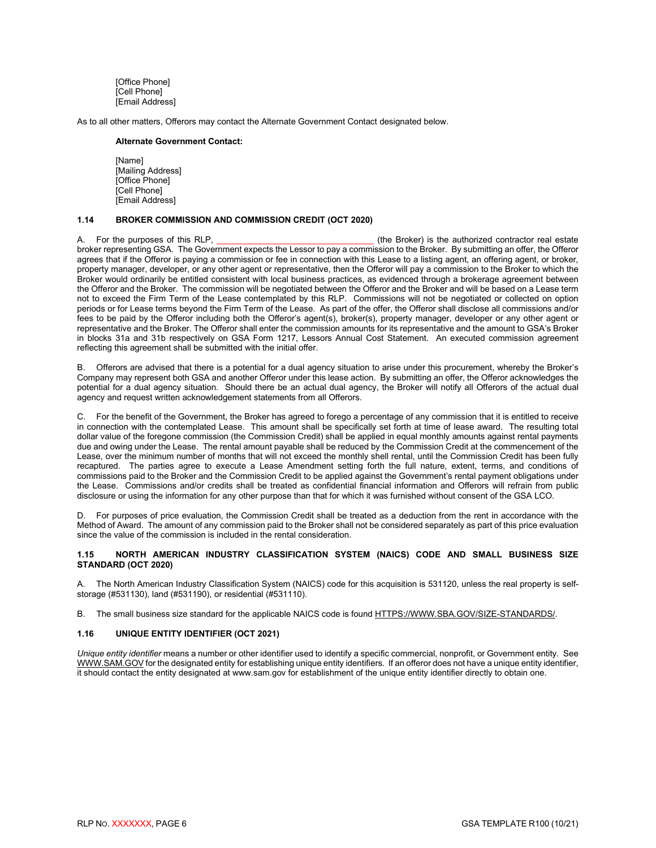[Office Phone] [Cell Phone] [Email Address]

As to all other matters, Offerors may contact the Alternate Government Contact designated below.

#### **Alternate Government Contact:**

[Name] [Mailing Address] [Office Phone] [Cell Phone] [Email Address]

#### <span id="page-8-0"></span>**1.14 BROKER COMMISSION AND COMMISSION CREDIT (OCT 2020)**

A. For the purposes of this RLP, **Example 20** is the Broker) is the authorized contractor real estate broker representing GSA. The Government expects the Lessor to pay a commission to the Broker. By submitting an offer, the Offeror agrees that if the Offeror is paying a commission or fee in connection with this Lease to a listing agent, an offering agent, or broker, property manager, developer, or any other agent or representative, then the Offeror will pay a commission to the Broker to which the Broker would ordinarily be entitled consistent with local business practices, as evidenced through a brokerage agreement between the Offeror and the Broker. The commission will be negotiated between the Offeror and the Broker and will be based on a Lease term not to exceed the Firm Term of the Lease contemplated by this RLP. Commissions will not be negotiated or collected on option periods or for Lease terms beyond the Firm Term of the Lease. As part of the offer, the Offeror shall disclose all commissions and/or fees to be paid by the Offeror including both the Offeror's agent(s), broker(s), property manager, developer or any other agent or representative and the Broker. The Offeror shall enter the commission amounts for its representative and the amount to GSA's Broker in blocks 31a and 31b respectively on GSA Form 1217, Lessors Annual Cost Statement. An executed commission agreement reflecting this agreement shall be submitted with the initial offer.

B. Offerors are advised that there is a potential for a dual agency situation to arise under this procurement, whereby the Broker's Company may represent both GSA and another Offeror under this lease action. By submitting an offer, the Offeror acknowledges the potential for a dual agency situation. Should there be an actual dual agency, the Broker will notify all Offerors of the actual dual agency and request written acknowledgement statements from all Offerors.

C. For the benefit of the Government, the Broker has agreed to forego a percentage of any commission that it is entitled to receive in connection with the contemplated Lease. This amount shall be specifically set forth at time of lease award. The resulting total dollar value of the foregone commission (the Commission Credit) shall be applied in equal monthly amounts against rental payments due and owing under the Lease. The rental amount payable shall be reduced by the Commission Credit at the commencement of the Lease, over the minimum number of months that will not exceed the monthly shell rental, until the Commission Credit has been fully recaptured. The parties agree to execute a Lease Amendment setting forth the full nature, extent, terms, and conditions of commissions paid to the Broker and the Commission Credit to be applied against the Government's rental payment obligations under the Lease. Commissions and/or credits shall be treated as confidential financial information and Offerors will refrain from public disclosure or using the information for any other purpose than that for which it was furnished without consent of the GSA LCO.

D. For purposes of price evaluation, the Commission Credit shall be treated as a deduction from the rent in accordance with the Method of Award. The amount of any commission paid to the Broker shall not be considered separately as part of this price evaluation since the value of the commission is included in the rental consideration.

#### <span id="page-8-1"></span>**1.15 NORTH AMERICAN INDUSTRY CLASSIFICATION SYSTEM (NAICS) CODE AND SMALL BUSINESS SIZE STANDARD (OCT 2020)**

A. The North American Industry Classification System (NAICS) code for this acquisition is 531120, unless the real property is selfstorage (#531130), land (#531190), or residential (#531110).

B. The small business size standard for the applicable NAICS code is found [HTTPS://WWW.SBA.GOV/SIZE-STANDARDS/.](https://www.sba.gov/size-standards/)

#### <span id="page-8-2"></span>**1.16 UNIQUE ENTITY IDENTIFIER (OCT 2021)**

*Unique entity identifier* means a number or other identifier used to identify a specific commercial, nonprofit, or Government entity. See [WWW.SAM.GOV](http://www.sam.gov/) for the designated entity for establishing unique entity identifiers. If an offeror does not have a unique entity identifier, it should contact the entity designated at www.sam.gov for establishment of the unique entity identifier directly to obtain one.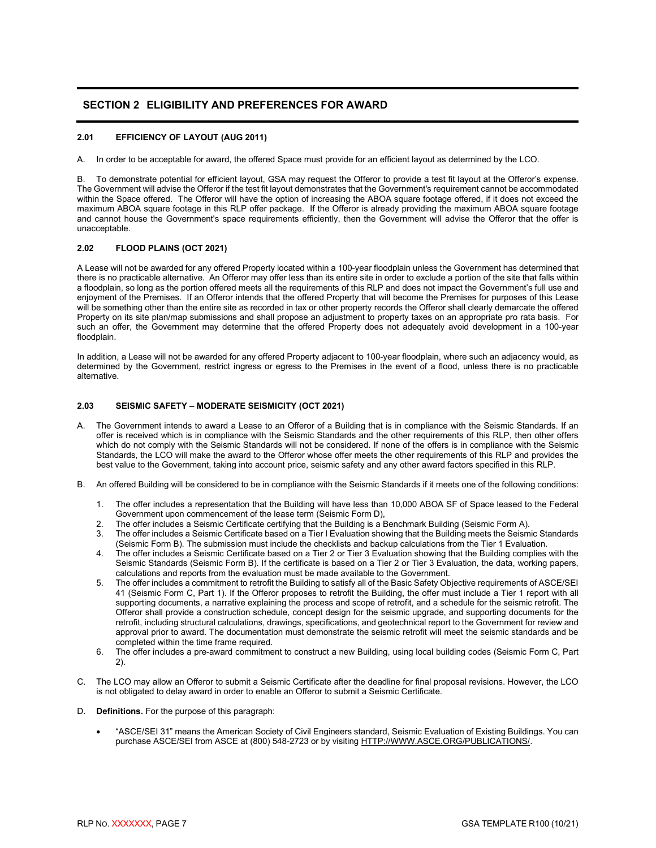#### <span id="page-9-0"></span>**SECTION 2 ELIGIBILITY AND PREFERENCES FOR AWARD**

#### <span id="page-9-1"></span>**2.01 EFFICIENCY OF LAYOUT (AUG 2011)**

A. In order to be acceptable for award, the offered Space must provide for an efficient layout as determined by the LCO.

B. To demonstrate potential for efficient layout, GSA may request the Offeror to provide a test fit layout at the Offeror's expense. The Government will advise the Offeror if the test fit layout demonstrates that the Government's requirement cannot be accommodated within the Space offered. The Offeror will have the option of increasing the ABOA square footage offered, if it does not exceed the maximum ABOA square footage in this RLP offer package. If the Offeror is already providing the maximum ABOA square footage and cannot house the Government's space requirements efficiently, then the Government will advise the Offeror that the offer is unacceptable.

#### <span id="page-9-2"></span>**2.02 FLOOD PLAINS (OCT 2021)**

A Lease will not be awarded for any offered Property located within a 100-year floodplain unless the Government has determined that there is no practicable alternative. An Offeror may offer less than its entire site in order to exclude a portion of the site that falls within a floodplain, so long as the portion offered meets all the requirements of this RLP and does not impact the Government's full use and enjoyment of the Premises. If an Offeror intends that the offered Property that will become the Premises for purposes of this Lease will be something other than the entire site as recorded in tax or other property records the Offeror shall clearly demarcate the offered Property on its site plan/map submissions and shall propose an adjustment to property taxes on an appropriate pro rata basis. For such an offer, the Government may determine that the offered Property does not adequately avoid development in a 100-year floodplain.

In addition, a Lease will not be awarded for any offered Property adjacent to 100-year floodplain, where such an adjacency would, as determined by the Government, restrict ingress or egress to the Premises in the event of a flood, unless there is no practicable alternative.

#### <span id="page-9-3"></span>**2.03 SEISMIC SAFETY – MODERATE SEISMICITY (OCT 2021)**

- A. The Government intends to award a Lease to an Offeror of a Building that is in compliance with the Seismic Standards. If an offer is received which is in compliance with the Seismic Standards and the other requirements of this RLP, then other offers which do not comply with the Seismic Standards will not be considered. If none of the offers is in compliance with the Seismic Standards, the LCO will make the award to the Offeror whose offer meets the other requirements of this RLP and provides the best value to the Government, taking into account price, seismic safety and any other award factors specified in this RLP.
- B. An offered Building will be considered to be in compliance with the Seismic Standards if it meets one of the following conditions:
	- 1. The offer includes a representation that the Building will have less than 10,000 ABOA SF of Space leased to the Federal Government upon commencement of the lease term (Seismic Form D),
	- 2. The offer includes a Seismic Certificate certifying that the Building is a Benchmark Building (Seismic Form A).
	- 3. The offer includes a Seismic Certificate based on a Tier I Evaluation showing that the Building meets the Seismic Standards (Seismic Form B). The submission must include the checklists and backup calculations from the Tier 1 Evaluation.
	- 4. The offer includes a Seismic Certificate based on a Tier 2 or Tier 3 Evaluation showing that the Building complies with the Seismic Standards (Seismic Form B). If the certificate is based on a Tier 2 or Tier 3 Evaluation, the data, working papers, calculations and reports from the evaluation must be made available to the Government.
	- 5. The offer includes a commitment to retrofit the Building to satisfy all of the Basic Safety Objective requirements of ASCE/SEI 41 (Seismic Form C, Part 1). If the Offeror proposes to retrofit the Building, the offer must include a Tier 1 report with all supporting documents, a narrative explaining the process and scope of retrofit, and a schedule for the seismic retrofit. The Offeror shall provide a construction schedule, concept design for the seismic upgrade, and supporting documents for the retrofit, including structural calculations, drawings, specifications, and geotechnical report to the Government for review and approval prior to award. The documentation must demonstrate the seismic retrofit will meet the seismic standards and be completed within the time frame required.
	- 6. The offer includes a pre-award commitment to construct a new Building, using local building codes (Seismic Form C, Part 2).
- C. The LCO may allow an Offeror to submit a Seismic Certificate after the deadline for final proposal revisions. However, the LCO is not obligated to delay award in order to enable an Offeror to submit a Seismic Certificate.
- D. **Definitions.** For the purpose of this paragraph:
	- "ASCE/SEI 31" means the American Society of Civil Engineers standard, Seismic Evaluation of Existing Buildings. You can purchase ASCE/SEI from ASCE at (800) 548-2723 or by visiting [HTTP://WWW.ASCE.ORG/PUBLICATIONS/.](http://www.asce.org/publications/)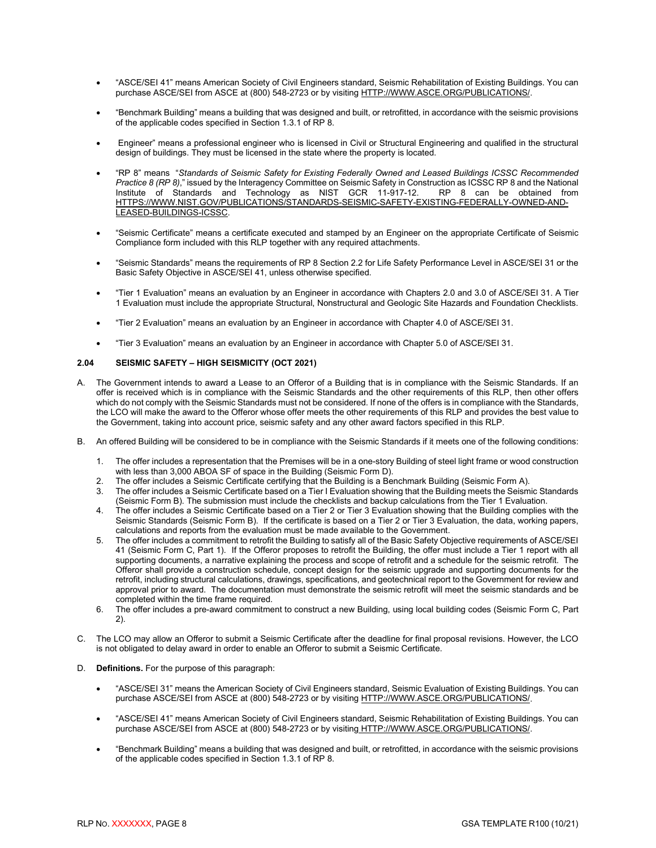- "ASCE/SEI 41" means American Society of Civil Engineers standard, Seismic Rehabilitation of Existing Buildings. You can purchase ASCE/SEI from ASCE at (800) 548-2723 or by visiting [HTTP://WWW.ASCE.ORG/PUBLICATIONS/.](http://www.asce.org/publications/)
- "Benchmark Building" means a building that was designed and built, or retrofitted, in accordance with the seismic provisions of the applicable codes specified in Section 1.3.1 of RP 8.
- Engineer" means a professional engineer who is licensed in Civil or Structural Engineering and qualified in the structural design of buildings. They must be licensed in the state where the property is located.
- "RP 8" means "*Standards of Seismic Safety for Existing Federally Owned and Leased Buildings ICSSC Recommended Practice 8 (RP 8)*," issued by the Interagency Committee on Seismic Safety in Construction as ICSSC RP 8 and the National Institute of Standards and Technology as NIST GCR 11-917-12. RP 8 can be obtained from Institute of Standards and Technology as NIST GCR 11-917-12. RP 8 can be obtained from [HTTPS://WWW.NIST.GOV/PUBLICATIONS/STANDARDS-SEISMIC-SAFETY-EXISTING-FEDERALLY-OWNED-AND-](https://www.nist.gov/publications/standards-seismic-safety-existing-federally-owned-and-leased-buildings-icssc)[LEASED-BUILDINGS-ICSSC.](https://www.nist.gov/publications/standards-seismic-safety-existing-federally-owned-and-leased-buildings-icssc)
- "Seismic Certificate" means a certificate executed and stamped by an Engineer on the appropriate Certificate of Seismic Compliance form included with this RLP together with any required attachments.
- "Seismic Standards" means the requirements of RP 8 Section 2.2 for Life Safety Performance Level in ASCE/SEI 31 or the Basic Safety Objective in ASCE/SEI 41, unless otherwise specified.
- "Tier 1 Evaluation" means an evaluation by an Engineer in accordance with Chapters 2.0 and 3.0 of ASCE/SEI 31. A Tier 1 Evaluation must include the appropriate Structural, Nonstructural and Geologic Site Hazards and Foundation Checklists.
- "Tier 2 Evaluation" means an evaluation by an Engineer in accordance with Chapter 4.0 of ASCE/SEI 31.
- "Tier 3 Evaluation" means an evaluation by an Engineer in accordance with Chapter 5.0 of ASCE/SEI 31.

#### <span id="page-10-0"></span>**2.04 SEISMIC SAFETY – HIGH SEISMICITY (OCT 2021)**

- A. The Government intends to award a Lease to an Offeror of a Building that is in compliance with the Seismic Standards. If an offer is received which is in compliance with the Seismic Standards and the other requirements of this RLP, then other offers which do not comply with the Seismic Standards must not be considered. If none of the offers is in compliance with the Standards, the LCO will make the award to the Offeror whose offer meets the other requirements of this RLP and provides the best value to the Government, taking into account price, seismic safety and any other award factors specified in this RLP.
- B. An offered Building will be considered to be in compliance with the Seismic Standards if it meets one of the following conditions:
	- 1. The offer includes a representation that the Premises will be in a one-story Building of steel light frame or wood construction with less than 3,000 ABOA SF of space in the Building (Seismic Form D).
	- 2. The offer includes a Seismic Certificate certifying that the Building is a Benchmark Building (Seismic Form A).
	- 3. The offer includes a Seismic Certificate based on a Tier I Evaluation showing that the Building meets the Seismic Standards (Seismic Form B). The submission must include the checklists and backup calculations from the Tier 1 Evaluation.
	- 4. The offer includes a Seismic Certificate based on a Tier 2 or Tier 3 Evaluation showing that the Building complies with the Seismic Standards (Seismic Form B). If the certificate is based on a Tier 2 or Tier 3 Evaluation, the data, working papers, calculations and reports from the evaluation must be made available to the Government.
	- 5. The offer includes a commitment to retrofit the Building to satisfy all of the Basic Safety Objective requirements of ASCE/SEI 41 (Seismic Form C, Part 1). If the Offeror proposes to retrofit the Building, the offer must include a Tier 1 report with all supporting documents, a narrative explaining the process and scope of retrofit and a schedule for the seismic retrofit. The Offeror shall provide a construction schedule, concept design for the seismic upgrade and supporting documents for the retrofit, including structural calculations, drawings, specifications, and geotechnical report to the Government for review and approval prior to award. The documentation must demonstrate the seismic retrofit will meet the seismic standards and be completed within the time frame required.
	- 6. The offer includes a pre-award commitment to construct a new Building, using local building codes (Seismic Form C, Part 2).
- C. The LCO may allow an Offeror to submit a Seismic Certificate after the deadline for final proposal revisions. However, the LCO is not obligated to delay award in order to enable an Offeror to submit a Seismic Certificate.
- D. **Definitions.** For the purpose of this paragraph:
	- "ASCE/SEI 31" means the American Society of Civil Engineers standard, Seismic Evaluation of Existing Buildings. You can purchase ASCE/SEI from ASCE at (800) 548-2723 or by visiting [HTTP://WWW.ASCE.ORG/PUBLICATIONS/.](http://www.asce.org/publications/)
	- "ASCE/SEI 41" means American Society of Civil Engineers standard, Seismic Rehabilitation of Existing Buildings. You can purchase ASCE/SEI from ASCE at (800) 548-2723 or by visiting [HTTP://WWW.ASCE.ORG/PUBLICATIONS/.](http://www.asce.org/publications/)
	- "Benchmark Building" means a building that was designed and built, or retrofitted, in accordance with the seismic provisions of the applicable codes specified in Section 1.3.1 of RP 8.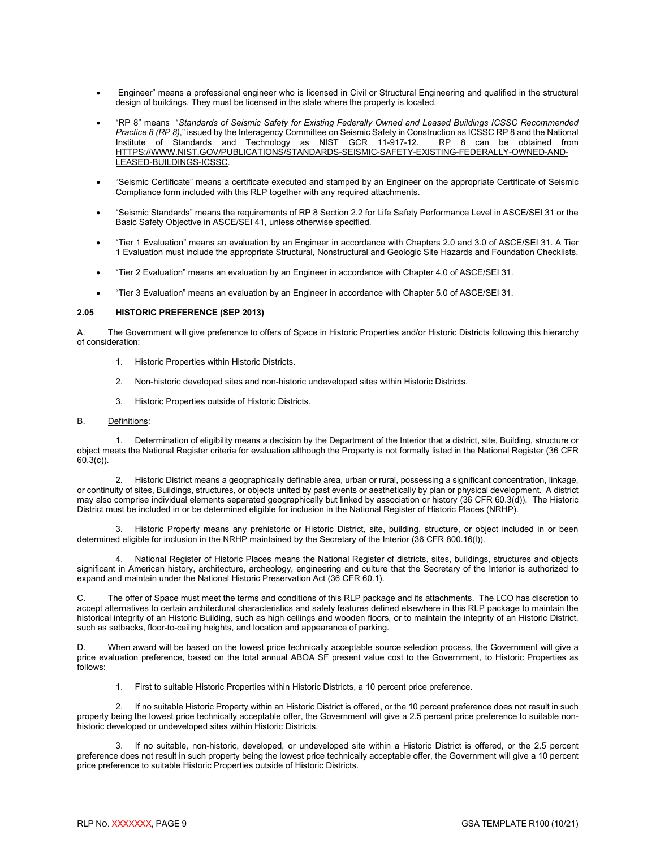- Engineer" means a professional engineer who is licensed in Civil or Structural Engineering and qualified in the structural design of buildings. They must be licensed in the state where the property is located.
- "RP 8" means "*Standards of Seismic Safety for Existing Federally Owned and Leased Buildings ICSSC Recommended Practice 8 (RP 8)*," issued by the Interagency Committee on Seismic Safety in Construction as ICSSC RP 8 and the National Institute of Standards and Technology as NIST GCR 11-917-12. RP 8 can be obtained from Institute of Standards and Technology as NIST GCR 11-917-12. RP 8 can be obtained from [HTTPS://WWW.NIST.GOV/PUBLICATIONS/STANDARDS-SEISMIC-SAFETY-EXISTING-FEDERALLY-OWNED-AND-](https://www.nist.gov/publications/standards-seismic-safety-existing-federally-owned-and-leased-buildings-icssc)[LEASED-BUILDINGS-ICSSC.](https://www.nist.gov/publications/standards-seismic-safety-existing-federally-owned-and-leased-buildings-icssc)
- "Seismic Certificate" means a certificate executed and stamped by an Engineer on the appropriate Certificate of Seismic Compliance form included with this RLP together with any required attachments.
- "Seismic Standards" means the requirements of RP 8 Section 2.2 for Life Safety Performance Level in ASCE/SEI 31 or the Basic Safety Objective in ASCE/SEI 41, unless otherwise specified.
- "Tier 1 Evaluation" means an evaluation by an Engineer in accordance with Chapters 2.0 and 3.0 of ASCE/SEI 31. A Tier 1 Evaluation must include the appropriate Structural, Nonstructural and Geologic Site Hazards and Foundation Checklists.
- "Tier 2 Evaluation" means an evaluation by an Engineer in accordance with Chapter 4.0 of ASCE/SEI 31.
- <span id="page-11-0"></span>• "Tier 3 Evaluation" means an evaluation by an Engineer in accordance with Chapter 5.0 of ASCE/SEI 31.

#### **2.05 HISTORIC PREFERENCE (SEP 2013)**

A. The Government will give preference to offers of Space in Historic Properties and/or Historic Districts following this hierarchy of consideration:

- 1. Historic Properties within Historic Districts.
- 2. Non-historic developed sites and non-historic undeveloped sites within Historic Districts.
- 3. Historic Properties outside of Historic Districts.

#### B. Definitions:

1. Determination of eligibility means a decision by the Department of the Interior that a district, site, Building, structure or object meets the National Register criteria for evaluation although the Property is not formally listed in the National Register (36 CFR 60.3(c)).

2. Historic District means a geographically definable area, urban or rural, possessing a significant concentration, linkage, or continuity of sites, Buildings, structures, or objects united by past events or aesthetically by plan or physical development. A district may also comprise individual elements separated geographically but linked by association or history (36 CFR 60.3(d)). The Historic District must be included in or be determined eligible for inclusion in the National Register of Historic Places (NRHP).

3. Historic Property means any prehistoric or Historic District, site, building, structure, or object included in or been determined eligible for inclusion in the NRHP maintained by the Secretary of the Interior (36 CFR 800.16(l)).

4. National Register of Historic Places means the National Register of districts, sites, buildings, structures and objects significant in American history, architecture, archeology, engineering and culture that the Secretary of the Interior is authorized to expand and maintain under the National Historic Preservation Act (36 CFR 60.1).

C. The offer of Space must meet the terms and conditions of this RLP package and its attachments. The LCO has discretion to accept alternatives to certain architectural characteristics and safety features defined elsewhere in this RLP package to maintain the historical integrity of an Historic Building, such as high ceilings and wooden floors, or to maintain the integrity of an Historic District, such as setbacks, floor-to-ceiling heights, and location and appearance of parking.

When award will be based on the lowest price technically acceptable source selection process, the Government will give a price evaluation preference, based on the total annual ABOA SF present value cost to the Government, to Historic Properties as follows:

1. First to suitable Historic Properties within Historic Districts, a 10 percent price preference.

If no suitable Historic Property within an Historic District is offered, or the 10 percent preference does not result in such property being the lowest price technically acceptable offer, the Government will give a 2.5 percent price preference to suitable nonhistoric developed or undeveloped sites within Historic Districts.

If no suitable, non-historic, developed, or undeveloped site within a Historic District is offered, or the 2.5 percent preference does not result in such property being the lowest price technically acceptable offer, the Government will give a 10 percent price preference to suitable Historic Properties outside of Historic Districts.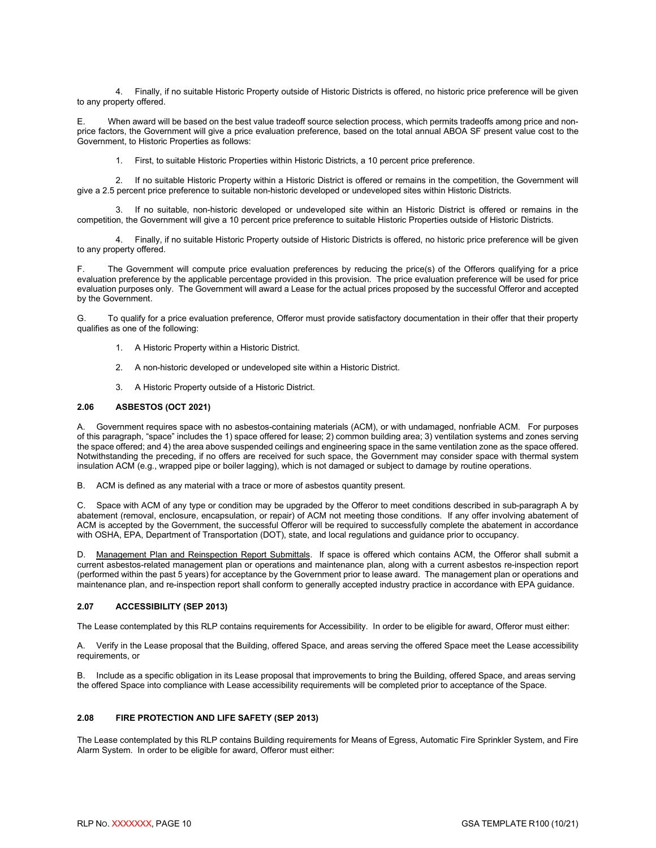4. Finally, if no suitable Historic Property outside of Historic Districts is offered, no historic price preference will be given to any property offered.

E. When award will be based on the best value tradeoff source selection process, which permits tradeoffs among price and nonprice factors, the Government will give a price evaluation preference, based on the total annual ABOA SF present value cost to the Government, to Historic Properties as follows:

1. First, to suitable Historic Properties within Historic Districts, a 10 percent price preference.

2. If no suitable Historic Property within a Historic District is offered or remains in the competition, the Government will give a 2.5 percent price preference to suitable non-historic developed or undeveloped sites within Historic Districts.

3. If no suitable, non-historic developed or undeveloped site within an Historic District is offered or remains in the competition, the Government will give a 10 percent price preference to suitable Historic Properties outside of Historic Districts.

4. Finally, if no suitable Historic Property outside of Historic Districts is offered, no historic price preference will be given to any property offered.

F. The Government will compute price evaluation preferences by reducing the price(s) of the Offerors qualifying for a price evaluation preference by the applicable percentage provided in this provision. The price evaluation preference will be used for price evaluation purposes only. The Government will award a Lease for the actual prices proposed by the successful Offeror and accepted by the Government.

G. To qualify for a price evaluation preference, Offeror must provide satisfactory documentation in their offer that their property qualifies as one of the following:

- 1. A Historic Property within a Historic District.
- 2. A non-historic developed or undeveloped site within a Historic District.
- 3. A Historic Property outside of a Historic District.

#### <span id="page-12-0"></span>**2.06 ASBESTOS (OCT 2021)**

A. Government requires space with no asbestos-containing materials (ACM), or with undamaged, nonfriable ACM. For purposes of this paragraph, "space" includes the 1) space offered for lease; 2) common building area; 3) ventilation systems and zones serving the space offered; and 4) the area above suspended ceilings and engineering space in the same ventilation zone as the space offered. Notwithstanding the preceding, if no offers are received for such space, the Government may consider space with thermal system insulation ACM (e.g., wrapped pipe or boiler lagging), which is not damaged or subject to damage by routine operations.

B. ACM is defined as any material with a trace or more of asbestos quantity present.

C. Space with ACM of any type or condition may be upgraded by the Offeror to meet conditions described in sub-paragraph A by abatement (removal, enclosure, encapsulation, or repair) of ACM not meeting those conditions. If any offer involving abatement of ACM is accepted by the Government, the successful Offeror will be required to successfully complete the abatement in accordance with OSHA, EPA, Department of Transportation (DOT), state, and local regulations and guidance prior to occupancy.

D. Management Plan and Reinspection Report Submittals. If space is offered which contains ACM, the Offeror shall submit a current asbestos-related management plan or operations and maintenance plan, along with a current asbestos re-inspection report (performed within the past 5 years) for acceptance by the Government prior to lease award. The management plan or operations and maintenance plan, and re-inspection report shall conform to generally accepted industry practice in accordance with EPA guidance.

#### <span id="page-12-1"></span>**2.07 ACCESSIBILITY (SEP 2013)**

The Lease contemplated by this RLP contains requirements for Accessibility. In order to be eligible for award, Offeror must either:

A. Verify in the Lease proposal that the Building, offered Space, and areas serving the offered Space meet the Lease accessibility requirements, or

B. Include as a specific obligation in its Lease proposal that improvements to bring the Building, offered Space, and areas serving the offered Space into compliance with Lease accessibility requirements will be completed prior to acceptance of the Space.

#### <span id="page-12-2"></span>**2.08 FIRE PROTECTION AND LIFE SAFETY (SEP 2013)**

The Lease contemplated by this RLP contains Building requirements for Means of Egress, Automatic Fire Sprinkler System, and Fire Alarm System. In order to be eligible for award, Offeror must either: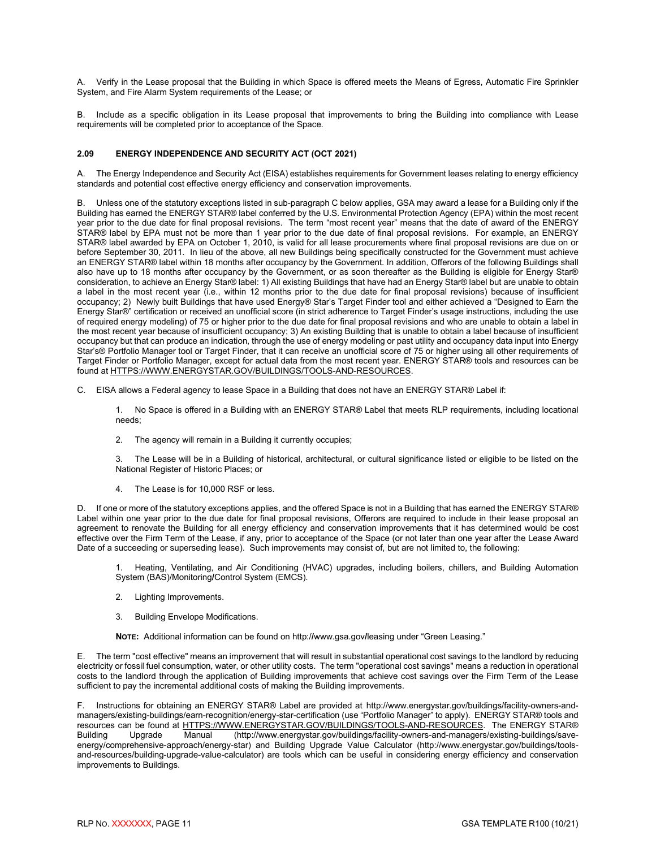A. Verify in the Lease proposal that the Building in which Space is offered meets the Means of Egress, Automatic Fire Sprinkler System, and Fire Alarm System requirements of the Lease; or

B. Include as a specific obligation in its Lease proposal that improvements to bring the Building into compliance with Lease requirements will be completed prior to acceptance of the Space.

#### <span id="page-13-0"></span>**2.09 ENERGY INDEPENDENCE AND SECURITY ACT (OCT 2021)**

A. The Energy Independence and Security Act (EISA) establishes requirements for Government leases relating to energy efficiency standards and potential cost effective energy efficiency and conservation improvements.

Unless one of the statutory exceptions listed in sub-paragraph C below applies, GSA may award a lease for a Building only if the Building has earned the ENERGY STAR® label conferred by the U.S. Environmental Protection Agency (EPA) within the most recent year prior to the due date for final proposal revisions. The term "most recent year" means that the date of award of the ENERGY STAR® label by EPA must not be more than 1 year prior to the due date of final proposal revisions. For example, an ENERGY STAR® label awarded by EPA on October 1, 2010, is valid for all lease procurements where final proposal revisions are due on or before September 30, 2011. In lieu of the above, all new Buildings being specifically constructed for the Government must achieve an ENERGY STAR® label within 18 months after occupancy by the Government. In addition, Offerors of the following Buildings shall also have up to 18 months after occupancy by the Government, or as soon thereafter as the Building is eligible for Energy Star® consideration, to achieve an Energy Star® label: 1) All existing Buildings that have had an Energy Star® label but are unable to obtain a label in the most recent year (i.e., within 12 months prior to the due date for final proposal revisions) because of insufficient occupancy; 2) Newly built Buildings that have used Energy® Star's Target Finder tool and either achieved a "Designed to Earn the Energy Star®" certification or received an unofficial score (in strict adherence to Target Finder's usage instructions, including the use of required energy modeling) of 75 or higher prior to the due date for final proposal revisions and who are unable to obtain a label in the most recent year because of insufficient occupancy; 3) An existing Building that is unable to obtain a label because of insufficient occupancy but that can produce an indication, through the use of energy modeling or past utility and occupancy data input into Energy Star's® Portfolio Manager tool or Target Finder, that it can receive an unofficial score of 75 or higher using all other requirements of Target Finder or Portfolio Manager, except for actual data from the most recent year. ENERGY STAR® tools and resources can be found at [HTTPS://WWW.ENERGYSTAR.GOV/BUILDINGS/TOOLS-AND-RESOURCES.](https://www.energystar.gov/BUILDINGS/TOOLS-AND-RESOURCES) 

C. EISA allows a Federal agency to lease Space in a Building that does not have an ENERGY STAR® Label if:

1. No Space is offered in a Building with an ENERGY STAR® Label that meets RLP requirements, including locational needs;

2. The agency will remain in a Building it currently occupies;

3. The Lease will be in a Building of historical, architectural, or cultural significance listed or eligible to be listed on the National Register of Historic Places; or

4. The Lease is for 10,000 RSF or less.

D. If one or more of the statutory exceptions applies, and the offered Space is not in a Building that has earned the ENERGY STAR® Label within one year prior to the due date for final proposal revisions, Offerors are required to include in their lease proposal an agreement to renovate the Building for all energy efficiency and conservation improvements that it has determined would be cost effective over the Firm Term of the Lease, if any, prior to acceptance of the Space (or not later than one year after the Lease Award Date of a succeeding or superseding lease). Such improvements may consist of, but are not limited to, the following:

1. Heating, Ventilating, and Air Conditioning (HVAC) upgrades, including boilers, chillers, and Building Automation System (BAS)/Monitoring**/**Control System (EMCS).

- 2. Lighting Improvements.
- 3. Building Envelope Modifications.

**NOTE:** Additional information can be found on http:/**/**www.gsa.gov**/**leasing under "Green Leasing."

E. The term "cost effective" means an improvement that will result in substantial operational cost savings to the landlord by reducing electricity or fossil fuel consumption, water, or other utility costs. The term "operational cost savings" means a reduction in operational costs to the landlord through the application of Building improvements that achieve cost savings over the Firm Term of the Lease sufficient to pay the incremental additional costs of making the Building improvements.

F. Instructions for obtaining an ENERGY STAR® Label are provided at http://www.energystar.gov/buildings/facility-owners-andmanagers/existing-buildings/earn-recognition/energy-star-certification (use "Portfolio Manager" to apply). ENERGY STAR® tools and resources can be found at [HTTPS://WWW.ENERGYSTAR.GOV/BUILDINGS/TOOLS-AND-RESOURCES.](https://www.energystar.gov/BUILDINGS/TOOLS-AND-RESOURCES) The ENERGY STAR®<br>Building Upgrade Manual (http://www.energystar.gov/buildings/facility-owners-and-managers/existing-buildings/save-(http://www.energystar.gov/buildings/facility-owners-and-managers/existing-buildings/saveenergy/comprehensive-approach/energy-star) and Building Upgrade Value Calculator (http://www.energystar.gov/buildings/toolsand-resources/building-upgrade-value-calculator) are tools which can be useful in considering energy efficiency and conservation improvements to Buildings.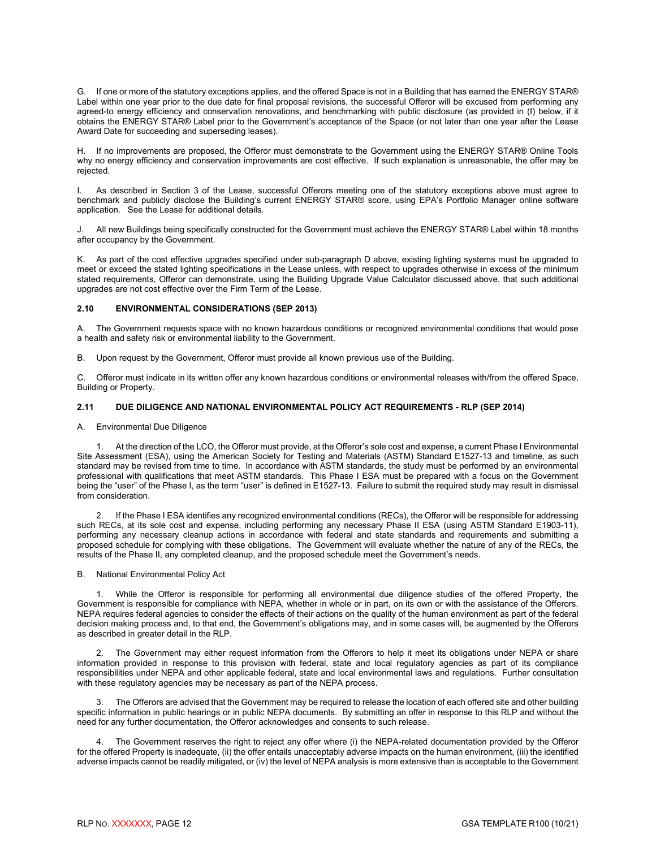G. If one or more of the statutory exceptions applies, and the offered Space is not in a Building that has earned the ENERGY STAR® Label within one year prior to the due date for final proposal revisions, the successful Offeror will be excused from performing any agreed-to energy efficiency and conservation renovations, and benchmarking with public disclosure (as provided in (I) below, if it obtains the ENERGY STAR® Label prior to the Government's acceptance of the Space (or not later than one year after the Lease Award Date for succeeding and superseding leases).

H. If no improvements are proposed, the Offeror must demonstrate to the Government using the ENERGY STAR® Online Tools why no energy efficiency and conservation improvements are cost effective. If such explanation is unreasonable, the offer may be rejected.

I. As described in Section 3 of the Lease, successful Offerors meeting one of the statutory exceptions above must agree to benchmark and publicly disclose the Building's current ENERGY STAR® score, using EPA's Portfolio Manager online software application. See the Lease for additional details.

J. All new Buildings being specifically constructed for the Government must achieve the ENERGY STAR® Label within 18 months after occupancy by the Government.

K. As part of the cost effective upgrades specified under sub-paragraph D above, existing lighting systems must be upgraded to meet or exceed the stated lighting specifications in the Lease unless, with respect to upgrades otherwise in excess of the minimum stated requirements, Offeror can demonstrate, using the Building Upgrade Value Calculator discussed above, that such additional upgrades are not cost effective over the Firm Term of the Lease.

#### <span id="page-14-0"></span>**2.10 ENVIRONMENTAL CONSIDERATIONS (SEP 2013)**

A. The Government requests space with no known hazardous conditions or recognized environmental conditions that would pose a health and safety risk or environmental liability to the Government.

B. Upon request by the Government, Offeror must provide all known previous use of the Building.

C. Offeror must indicate in its written offer any known hazardous conditions or environmental releases with/from the offered Space, Building or Property.

#### <span id="page-14-1"></span>**2.11 DUE DILIGENCE AND NATIONAL ENVIRONMENTAL POLICY ACT REQUIREMENTS - RLP (SEP 2014)**

#### A. Environmental Due Diligence

1. At the direction of the LCO, the Offeror must provide, at the Offeror's sole cost and expense, a current Phase I Environmental Site Assessment (ESA), using the American Society for Testing and Materials (ASTM) Standard E1527-13 and timeline, as such standard may be revised from time to time. In accordance with ASTM standards, the study must be performed by an environmental professional with qualifications that meet ASTM standards. This Phase I ESA must be prepared with a focus on the Government being the "user" of the Phase I, as the term "user" is defined in E1527-13. Failure to submit the required study may result in dismissal from consideration.

2. If the Phase I ESA identifies any recognized environmental conditions (RECs), the Offeror will be responsible for addressing such RECs, at its sole cost and expense, including performing any necessary Phase II ESA (using ASTM Standard E1903-11), performing any necessary cleanup actions in accordance with federal and state standards and requirements and submitting a proposed schedule for complying with these obligations. The Government will evaluate whether the nature of any of the RECs, the results of the Phase II, any completed cleanup, and the proposed schedule meet the Government's needs.

#### B. National Environmental Policy Act

1. While the Offeror is responsible for performing all environmental due diligence studies of the offered Property, the Government is responsible for compliance with NEPA, whether in whole or in part, on its own or with the assistance of the Offerors. NEPA requires federal agencies to consider the effects of their actions on the quality of the human environment as part of the federal decision making process and, to that end, the Government's obligations may, and in some cases will, be augmented by the Offerors as described in greater detail in the RLP.

2. The Government may either request information from the Offerors to help it meet its obligations under NEPA or share information provided in response to this provision with federal, state and local regulatory agencies as part of its compliance responsibilities under NEPA and other applicable federal, state and local environmental laws and regulations. Further consultation with these regulatory agencies may be necessary as part of the NEPA process.

3. The Offerors are advised that the Government may be required to release the location of each offered site and other building specific information in public hearings or in public NEPA documents. By submitting an offer in response to this RLP and without the need for any further documentation, the Offeror acknowledges and consents to such release.

4. The Government reserves the right to reject any offer where (i) the NEPA-related documentation provided by the Offeror for the offered Property is inadequate, (ii) the offer entails unacceptably adverse impacts on the human environment, (iii) the identified adverse impacts cannot be readily mitigated, or (iv) the level of NEPA analysis is more extensive than is acceptable to the Government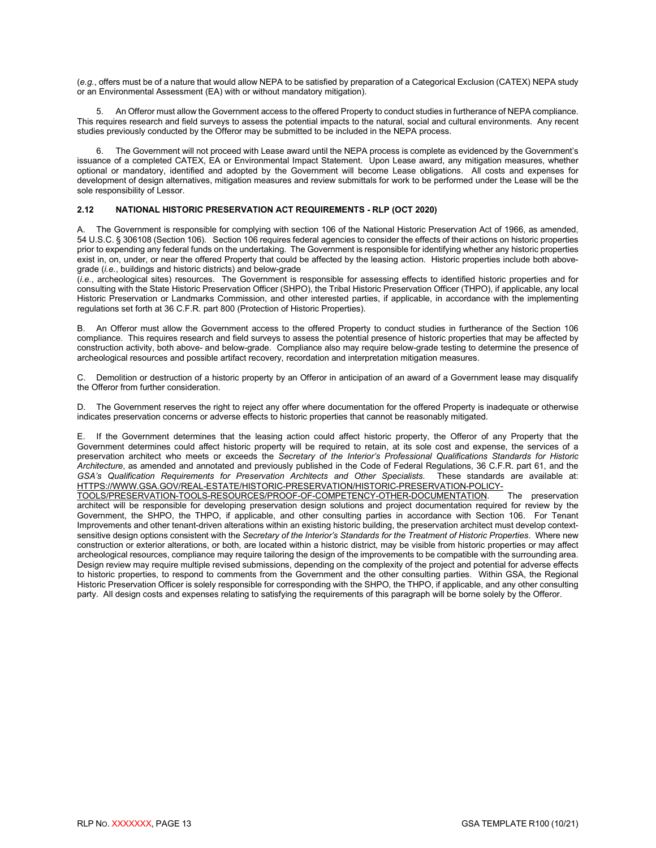(*e.g.*, offers must be of a nature that would allow NEPA to be satisfied by preparation of a Categorical Exclusion (CATEX) NEPA study or an Environmental Assessment (EA) with or without mandatory mitigation).

5. An Offeror must allow the Government access to the offered Property to conduct studies in furtherance of NEPA compliance. This requires research and field surveys to assess the potential impacts to the natural, social and cultural environments. Any recent studies previously conducted by the Offeror may be submitted to be included in the NEPA process.

6. The Government will not proceed with Lease award until the NEPA process is complete as evidenced by the Government's issuance of a completed CATEX, EA or Environmental Impact Statement. Upon Lease award, any mitigation measures, whether optional or mandatory, identified and adopted by the Government will become Lease obligations. All costs and expenses for development of design alternatives, mitigation measures and review submittals for work to be performed under the Lease will be the sole responsibility of Lessor.

#### <span id="page-15-0"></span>**2.12 NATIONAL HISTORIC PRESERVATION ACT REQUIREMENTS - RLP (OCT 2020)**

The Government is responsible for complying with section 106 of the National Historic Preservation Act of 1966, as amended, 54 U.S.C. § 306108 (Section 106). Section 106 requires federal agencies to consider the effects of their actions on historic properties prior to expending any federal funds on the undertaking. The Government is responsible for identifying whether any historic properties exist in, on, under, or near the offered Property that could be affected by the leasing action. Historic properties include both abovegrade (*i.e.*, buildings and historic districts) and below-grade

(*i.e.*, archeological sites) resources. The Government is responsible for assessing effects to identified historic properties and for consulting with the State Historic Preservation Officer (SHPO), the Tribal Historic Preservation Officer (THPO), if applicable, any local Historic Preservation or Landmarks Commission, and other interested parties, if applicable, in accordance with the implementing regulations set forth at 36 C.F.R. part 800 (Protection of Historic Properties).

B. An Offeror must allow the Government access to the offered Property to conduct studies in furtherance of the Section 106 compliance. This requires research and field surveys to assess the potential presence of historic properties that may be affected by construction activity, both above- and below-grade. Compliance also may require below-grade testing to determine the presence of archeological resources and possible artifact recovery, recordation and interpretation mitigation measures.

C. Demolition or destruction of a historic property by an Offeror in anticipation of an award of a Government lease may disqualify the Offeror from further consideration.

D. The Government reserves the right to reject any offer where documentation for the offered Property is inadequate or otherwise indicates preservation concerns or adverse effects to historic properties that cannot be reasonably mitigated.

E. If the Government determines that the leasing action could affect historic property, the Offeror of any Property that the Government determines could affect historic property will be required to retain, at its sole cost and expense, the services of a preservation architect who meets or exceeds the *Secretary of the Interior's Professional Qualifications Standards for Historic Architecture*, as amended and annotated and previously published in the Code of Federal Regulations, 36 C.F.R. part 61, and the *GSA's Qualification Requirements for Preservation Architects and Other Specialists*. These standards are available at: [HTTPS://WWW.GSA.GOV/REAL-ESTATE/HISTORIC-PRESERVATION/HISTORIC-PRESERVATION-POLICY-](https://www.gsa.gov/real-estate/historic-preservation/historic-preservation-policy-tools/preservation-tools-resources/proof-of-competency-other-documentation)

[TOOLS/PRESERVATION-TOOLS-RESOURCES/PROOF-OF-COMPETENCY-OTHER-DOCUMENTATION.](https://www.gsa.gov/real-estate/historic-preservation/historic-preservation-policy-tools/preservation-tools-resources/proof-of-competency-other-documentation) The preservation architect will be responsible for developing preservation design solutions and project documentation required for review by the Government, the SHPO, the THPO, if applicable, and other consulting parties in accordance with Section 106. For Tenant Improvements and other tenant-driven alterations within an existing historic building, the preservation architect must develop contextsensitive design options consistent with the *Secretary of the Interior's Standards for the Treatment of Historic Properties*. Where new construction or exterior alterations, or both, are located within a historic district, may be visible from historic properties or may affect archeological resources, compliance may require tailoring the design of the improvements to be compatible with the surrounding area. Design review may require multiple revised submissions, depending on the complexity of the project and potential for adverse effects to historic properties, to respond to comments from the Government and the other consulting parties. Within GSA, the Regional Historic Preservation Officer is solely responsible for corresponding with the SHPO, the THPO, if applicable, and any other consulting party. All design costs and expenses relating to satisfying the requirements of this paragraph will be borne solely by the Offeror.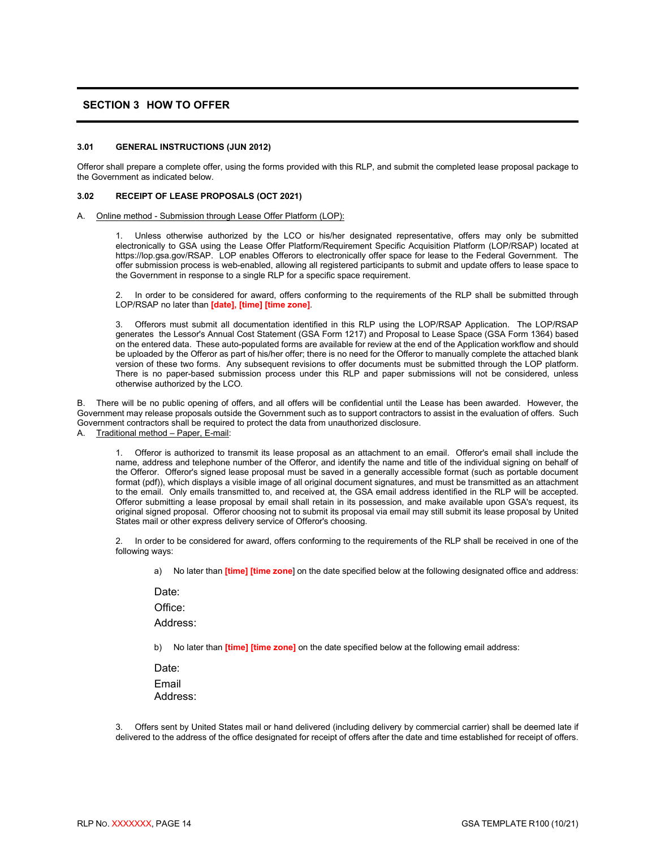#### <span id="page-16-0"></span>**SECTION 3 HOW TO OFFER**

#### <span id="page-16-1"></span>**3.01 GENERAL INSTRUCTIONS (JUN 2012)**

Offeror shall prepare a complete offer, using the forms provided with this RLP, and submit the completed lease proposal package to the Government as indicated below.

#### <span id="page-16-2"></span>**3.02 RECEIPT OF LEASE PROPOSALS (OCT 2021)**

#### A. Online method - Submission through Lease Offer Platform (LOP):

Unless otherwise authorized by the LCO or his/her designated representative, offers may only be submitted electronically to GSA using the Lease Offer Platform/Requirement Specific Acquisition Platform (LOP/RSAP) located at https://lop.gsa.gov/RSAP. LOP enables Offerors to electronically offer space for lease to the Federal Government. The offer submission process is web-enabled, allowing all registered participants to submit and update offers to lease space to the Government in response to a single RLP for a specific space requirement.

2. In order to be considered for award, offers conforming to the requirements of the RLP shall be submitted through LOP/RSAP no later than **[date], [time] [time zone]**.

3. Offerors must submit all documentation identified in this RLP using the LOP/RSAP Application. The LOP/RSAP generates the Lessor's Annual Cost Statement (GSA Form 1217) and Proposal to Lease Space (GSA Form 1364) based on the entered data. These auto-populated forms are available for review at the end of the Application workflow and should be uploaded by the Offeror as part of his/her offer; there is no need for the Offeror to manually complete the attached blank version of these two forms. Any subsequent revisions to offer documents must be submitted through the LOP platform. There is no paper-based submission process under this RLP and paper submissions will not be considered, unless otherwise authorized by the LCO.

B. There will be no public opening of offers, and all offers will be confidential until the Lease has been awarded. However, the Government may release proposals outside the Government such as to support contractors to assist in the evaluation of offers. Such Government contractors shall be required to protect the data from unauthorized disclosure.

A. Traditional method – Paper, E-mail:

1. Offeror is authorized to transmit its lease proposal as an attachment to an email. Offeror's email shall include the name, address and telephone number of the Offeror, and identify the name and title of the individual signing on behalf of the Offeror. Offeror's signed lease proposal must be saved in a generally accessible format (such as portable document format (pdf)), which displays a visible image of all original document signatures, and must be transmitted as an attachment to the email. Only emails transmitted to, and received at, the GSA email address identified in the RLP will be accepted. Offeror submitting a lease proposal by email shall retain in its possession, and make available upon GSA's request, its original signed proposal. Offeror choosing not to submit its proposal via email may still submit its lease proposal by United States mail or other express delivery service of Offeror's choosing.

In order to be considered for award, offers conforming to the requirements of the RLP shall be received in one of the following ways:

a) No later than **[time] [time zone**] on the date specified below at the following designated office and address:

Date:

Office:

Address:

b) No later than **[time] [time zone]** on the date specified below at the following email address:

Date: Email Address:

3. Offers sent by United States mail or hand delivered (including delivery by commercial carrier) shall be deemed late if delivered to the address of the office designated for receipt of offers after the date and time established for receipt of offers.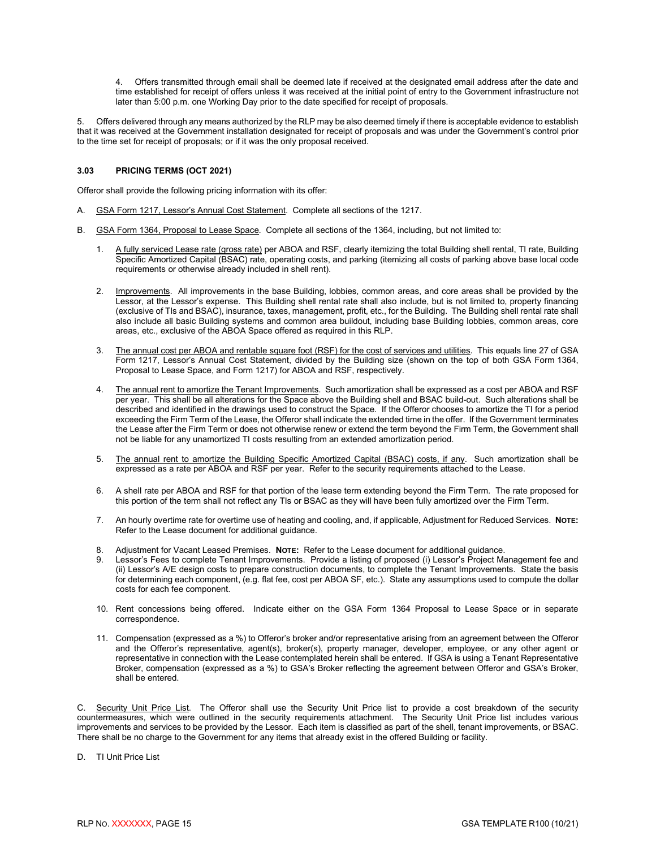4. Offers transmitted through email shall be deemed late if received at the designated email address after the date and time established for receipt of offers unless it was received at the initial point of entry to the Government infrastructure not later than 5:00 p.m. one Working Day prior to the date specified for receipt of proposals.

5. Offers delivered through any means authorized by the RLP may be also deemed timely if there is acceptable evidence to establish that it was received at the Government installation designated for receipt of proposals and was under the Government's control prior to the time set for receipt of proposals; or if it was the only proposal received.

#### <span id="page-17-0"></span>**3.03 PRICING TERMS (OCT 2021)**

Offeror shall provide the following pricing information with its offer:

- A. GSA Form 1217, Lessor's Annual Cost Statement. Complete all sections of the 1217.
- B. GSA Form 1364, Proposal to Lease Space. Complete all sections of the 1364, including, but not limited to:
	- 1. A fully serviced Lease rate (gross rate) per ABOA and RSF, clearly itemizing the total Building shell rental, TI rate, Building Specific Amortized Capital (BSAC) rate, operating costs, and parking (itemizing all costs of parking above base local code requirements or otherwise already included in shell rent).
	- 2. Improvements. All improvements in the base Building, lobbies, common areas, and core areas shall be provided by the Lessor, at the Lessor's expense. This Building shell rental rate shall also include, but is not limited to, property financing (exclusive of TIs and BSAC), insurance, taxes, management, profit, etc., for the Building. The Building shell rental rate shall also include all basic Building systems and common area buildout, including base Building lobbies, common areas, core areas, etc., exclusive of the ABOA Space offered as required in this RLP.
	- 3. The annual cost per ABOA and rentable square foot (RSF) for the cost of services and utilities. This equals line 27 of GSA Form 1217, Lessor's Annual Cost Statement, divided by the Building size (shown on the top of both GSA Form 1364, Proposal to Lease Space, and Form 1217) for ABOA and RSF, respectively.
	- 4. The annual rent to amortize the Tenant Improvements. Such amortization shall be expressed as a cost per ABOA and RSF per year. This shall be all alterations for the Space above the Building shell and BSAC build-out. Such alterations shall be described and identified in the drawings used to construct the Space. If the Offeror chooses to amortize the TI for a period exceeding the Firm Term of the Lease, the Offeror shall indicate the extended time in the offer. If the Government terminates the Lease after the Firm Term or does not otherwise renew or extend the term beyond the Firm Term, the Government shall not be liable for any unamortized TI costs resulting from an extended amortization period.
	- 5. The annual rent to amortize the Building Specific Amortized Capital (BSAC) costs, if any. Such amortization shall be expressed as a rate per ABOA and RSF per year. Refer to the security requirements attached to the Lease.
	- 6. A shell rate per ABOA and RSF for that portion of the lease term extending beyond the Firm Term. The rate proposed for this portion of the term shall not reflect any TIs or BSAC as they will have been fully amortized over the Firm Term.
	- 7. An hourly overtime rate for overtime use of heating and cooling, and, if applicable, Adjustment for Reduced Services. **NOTE:** Refer to the Lease document for additional guidance.
	- 8. Adjustment for Vacant Leased Premises. **NOTE:** Refer to the Lease document for additional guidance.
	- Lessor's Fees to complete Tenant Improvements. Provide a listing of proposed (i) Lessor's Project Management fee and (ii) Lessor's A/E design costs to prepare construction documents, to complete the Tenant Improvements. State the basis for determining each component, (e.g. flat fee, cost per ABOA SF, etc.). State any assumptions used to compute the dollar costs for each fee component.
	- 10. Rent concessions being offered. Indicate either on the GSA Form 1364 Proposal to Lease Space or in separate correspondence.
	- 11. Compensation (expressed as a %) to Offeror's broker and/or representative arising from an agreement between the Offeror and the Offeror's representative, agent(s), broker(s), property manager, developer, employee, or any other agent or representative in connection with the Lease contemplated herein shall be entered. If GSA is using a Tenant Representative Broker, compensation (expressed as a %) to GSA's Broker reflecting the agreement between Offeror and GSA's Broker, shall be entered.

C. <u>Security Unit Price List</u>. The Offeror shall use the Security Unit Price list to provide a cost breakdown of the security countermeasures, which were outlined in the security requirements attachment. The Security Unit Price list includes various improvements and services to be provided by the Lessor. Each item is classified as part of the shell, tenant improvements, or BSAC. There shall be no charge to the Government for any items that already exist in the offered Building or facility.

D. TI Unit Price List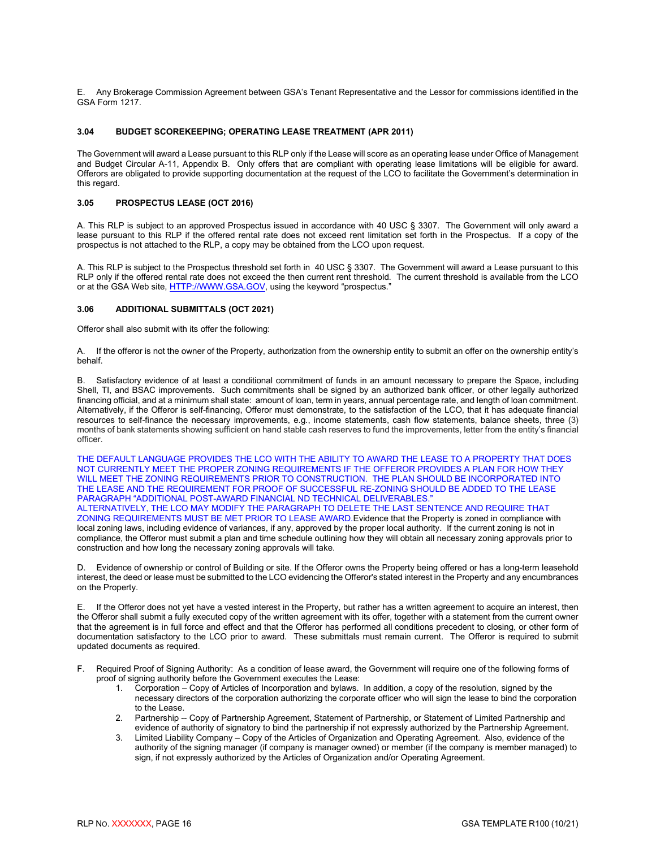E. Any Brokerage Commission Agreement between GSA's Tenant Representative and the Lessor for commissions identified in the GSA Form 1217.

#### <span id="page-18-0"></span>**3.04 BUDGET SCOREKEEPING; OPERATING LEASE TREATMENT (APR 2011)**

The Government will award a Lease pursuant to this RLP only if the Lease will score as an operating lease under Office of Management and Budget Circular A-11, Appendix B. Only offers that are compliant with operating lease limitations will be eligible for award. Offerors are obligated to provide supporting documentation at the request of the LCO to facilitate the Government's determination in this regard.

#### <span id="page-18-1"></span>**3.05 PROSPECTUS LEASE (OCT 2016)**

A. This RLP is subject to an approved Prospectus issued in accordance with 40 USC § 3307. The Government will only award a lease pursuant to this RLP if the offered rental rate does not exceed rent limitation set forth in the Prospectus. If a copy of the prospectus is not attached to the RLP, a copy may be obtained from the LCO upon request.

A. This RLP is subject to the Prospectus threshold set forth in 40 USC § 3307. The Government will award a Lease pursuant to this RLP only if the offered rental rate does not exceed the then current rent threshold. The current threshold is available from the LCO or at the GSA Web site[, HTTP://WWW.GSA.GOV,](http://www.gsa.gov/) using the keyword "prospectus."

#### <span id="page-18-2"></span>**3.06 ADDITIONAL SUBMITTALS (OCT 2021)**

Offeror shall also submit with its offer the following:

A. If the offeror is not the owner of the Property, authorization from the ownership entity to submit an offer on the ownership entity's behalf.

B. Satisfactory evidence of at least a conditional commitment of funds in an amount necessary to prepare the Space, including Shell, TI, and BSAC improvements. Such commitments shall be signed by an authorized bank officer, or other legally authorized financing official, and at a minimum shall state: amount of loan, term in years, annual percentage rate, and length of loan commitment. Alternatively, if the Offeror is self-financing, Offeror must demonstrate, to the satisfaction of the LCO, that it has adequate financial resources to self-finance the necessary improvements, e.g., income statements, cash flow statements, balance sheets, three (3) months of bank statements showing sufficient on hand stable cash reserves to fund the improvements, letter from the entity's financial officer.

THE DEFAULT LANGUAGE PROVIDES THE LCO WITH THE ABILITY TO AWARD THE LEASE TO A PROPERTY THAT DOES NOT CURRENTLY MEET THE PROPER ZONING REQUIREMENTS IF THE OFFEROR PROVIDES A PLAN FOR HOW THEY WILL MEET THE ZONING REQUIREMENTS PRIOR TO CONSTRUCTION. THE PLAN SHOULD BE INCORPORATED INTO THE LEASE AND THE REQUIREMENT FOR PROOF OF SUCCESSFUL RE-ZONING SHOULD BE ADDED TO THE LEASE PARAGRAPH "ADDITIONAL POST-AWARD FINANCIAL ND TECHNICAL DELIVERABLES." ALTERNATIVELY, THE LCO MAY MODIFY THE PARAGRAPH TO DELETE THE LAST SENTENCE AND REQUIRE THAT ZONING REQUIREMENTS MUST BE MET PRIOR TO LEASE AWARD.Evidence that the Property is zoned in compliance with local zoning laws, including evidence of variances, if any, approved by the proper local authority. If the current zoning is not in

compliance, the Offeror must submit a plan and time schedule outlining how they will obtain all necessary zoning approvals prior to construction and how long the necessary zoning approvals will take.

D. Evidence of ownership or control of Building or site. If the Offeror owns the Property being offered or has a long-term leasehold interest, the deed or lease must be submitted to the LCO evidencing the Offeror's stated interest in the Property and any encumbrances on the Property.

E. If the Offeror does not yet have a vested interest in the Property, but rather has a written agreement to acquire an interest, then the Offeror shall submit a fully executed copy of the written agreement with its offer, together with a statement from the current owner that the agreement is in full force and effect and that the Offeror has performed all conditions precedent to closing, or other form of documentation satisfactory to the LCO prior to award. These submittals must remain current. The Offeror is required to submit updated documents as required.

- F. Required Proof of Signing Authority: As a condition of lease award, the Government will require one of the following forms of proof of signing authority before the Government executes the Lease:<br>1. Corporation – Copy of Articles of Incorporation and bylaws.
	- 1. Corporation Copy of Articles of Incorporation and bylaws. In addition, a copy of the resolution, signed by the necessary directors of the corporation authorizing the corporate officer who will sign the lease to bind the corporation to the Lease.
	- 2. Partnership -- Copy of Partnership Agreement, Statement of Partnership, or Statement of Limited Partnership and evidence of authority of signatory to bind the partnership if not expressly authorized by the Partnership Agreement.
	- 3. Limited Liability Company Copy of the Articles of Organization and Operating Agreement. Also, evidence of the authority of the signing manager (if company is manager owned) or member (if the company is member managed) to sign, if not expressly authorized by the Articles of Organization and/or Operating Agreement.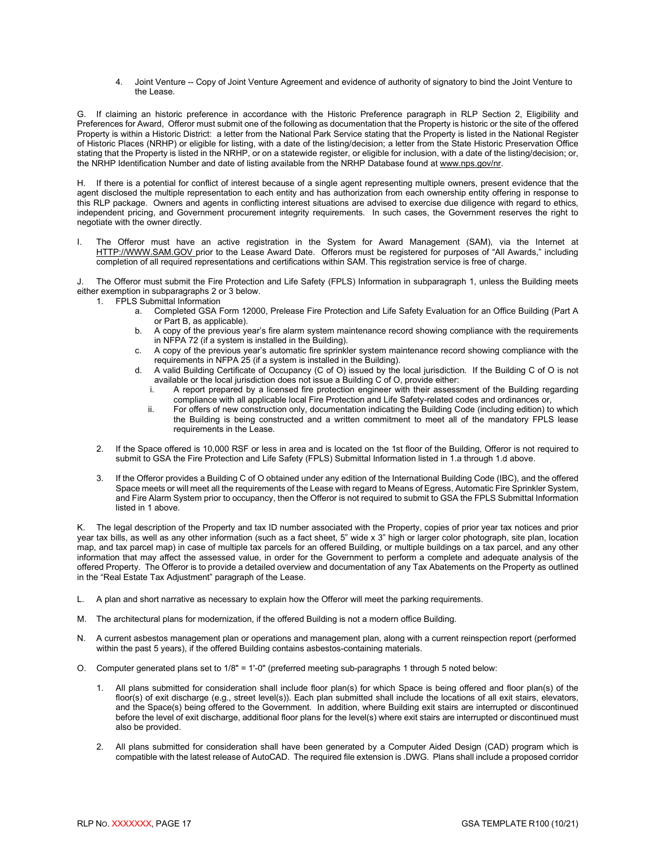4. Joint Venture -- Copy of Joint Venture Agreement and evidence of authority of signatory to bind the Joint Venture to the Lease.

G. If claiming an historic preference in accordance with the Historic Preference paragraph in RLP Section 2, Eligibility and Preferences for Award, Offeror must submit one of the following as documentation that the Property is historic or the site of the offered Property is within a Historic District: a letter from the National Park Service stating that the Property is listed in the National Register of Historic Places (NRHP) or eligible for listing, with a date of the listing/decision; a letter from the State Historic Preservation Office stating that the Property is listed in the NRHP, or on a statewide register, or eligible for inclusion, with a date of the listing/decision; or, the NRHP Identification Number and date of listing available from the NRHP Database found at www.nps.gov/nr.

H. If there is a potential for conflict of interest because of a single agent representing multiple owners, present evidence that the agent disclosed the multiple representation to each entity and has authorization from each ownership entity offering in response to this RLP package. Owners and agents in conflicting interest situations are advised to exercise due diligence with regard to ethics, independent pricing, and Government procurement integrity requirements. In such cases, the Government reserves the right to negotiate with the owner directly.

I. The Offeror must have an active registration in the System for Award Management (SAM), via the Internet at HTTP://WWW.SAM.GOV prior to the Lease Award Date. Offerors must be registered for purposes of "All Awards," including completion of all required representations and certifications within SAM. This registration service is free of charge.

The Offeror must submit the Fire Protection and Life Safety (FPLS) Information in subparagraph 1, unless the Building meets either exemption in subparagraphs 2 or 3 below.

- 1. FPLS Submittal Information
	- a. Completed GSA Form 12000, Prelease Fire Protection and Life Safety Evaluation for an Office Building (Part A or Part B, as applicable).
	- b. A copy of the previous year's fire alarm system maintenance record showing compliance with the requirements in NFPA 72 (if a system is installed in the Building).
	- c. A copy of the previous year's automatic fire sprinkler system maintenance record showing compliance with the requirements in NFPA 25 (if a system is installed in the Building).
	- d. A valid Building Certificate of Occupancy (C of O) issued by the local jurisdiction. If the Building C of O is not available or the local jurisdiction does not issue a Building  $\tilde{C}$  of O, provide either:<br>i. A report prepared by a licensed fire protection engineer with their assessi
		- A report prepared by a licensed fire protection engineer with their assessment of the Building regarding compliance with all applicable local Fire Protection and Life Safety-related codes and ordinances or,
		- ii. For offers of new construction only, documentation indicating the Building Code (including edition) to which the Building is being constructed and a written commitment to meet all of the mandatory FPLS lease requirements in the Lease.
- 2. If the Space offered is 10,000 RSF or less in area and is located on the 1st floor of the Building, Offeror is not required to submit to GSA the Fire Protection and Life Safety (FPLS) Submittal Information listed in 1.a through 1.d above.
- 3. If the Offeror provides a Building C of O obtained under any edition of the International Building Code (IBC), and the offered Space meets or will meet all the requirements of the Lease with regard to Means of Egress, Automatic Fire Sprinkler System, and Fire Alarm System prior to occupancy, then the Offeror is not required to submit to GSA the FPLS Submittal Information listed in 1 above.

K. The legal description of the Property and tax ID number associated with the Property, copies of prior year tax notices and prior year tax bills, as well as any other information (such as a fact sheet, 5" wide x 3" high or larger color photograph, site plan, location map, and tax parcel map) in case of multiple tax parcels for an offered Building, or multiple buildings on a tax parcel, and any other information that may affect the assessed value, in order for the Government to perform a complete and adequate analysis of the offered Property. The Offeror is to provide a detailed overview and documentation of any Tax Abatements on the Property as outlined in the "Real Estate Tax Adjustment" paragraph of the Lease.

- L. A plan and short narrative as necessary to explain how the Offeror will meet the parking requirements.
- M. The architectural plans for modernization, if the offered Building is not a modern office Building.
- N. A current asbestos management plan or operations and management plan, along with a current reinspection report (performed within the past 5 years), if the offered Building contains asbestos-containing materials.
- O. Computer generated plans set to 1/8" = 1'-0" (preferred meeting sub-paragraphs 1 through 5 noted below:
	- 1. All plans submitted for consideration shall include floor plan(s) for which Space is being offered and floor plan(s) of the floor(s) of exit discharge (e.g., street level(s)). Each plan submitted shall include the locations of all exit stairs, elevators, and the Space(s) being offered to the Government. In addition, where Building exit stairs are interrupted or discontinued before the level of exit discharge, additional floor plans for the level(s) where exit stairs are interrupted or discontinued must also be provided.
	- 2. All plans submitted for consideration shall have been generated by a Computer Aided Design (CAD) program which is compatible with the latest release of AutoCAD. The required file extension is .DWG. Plans shall include a proposed corridor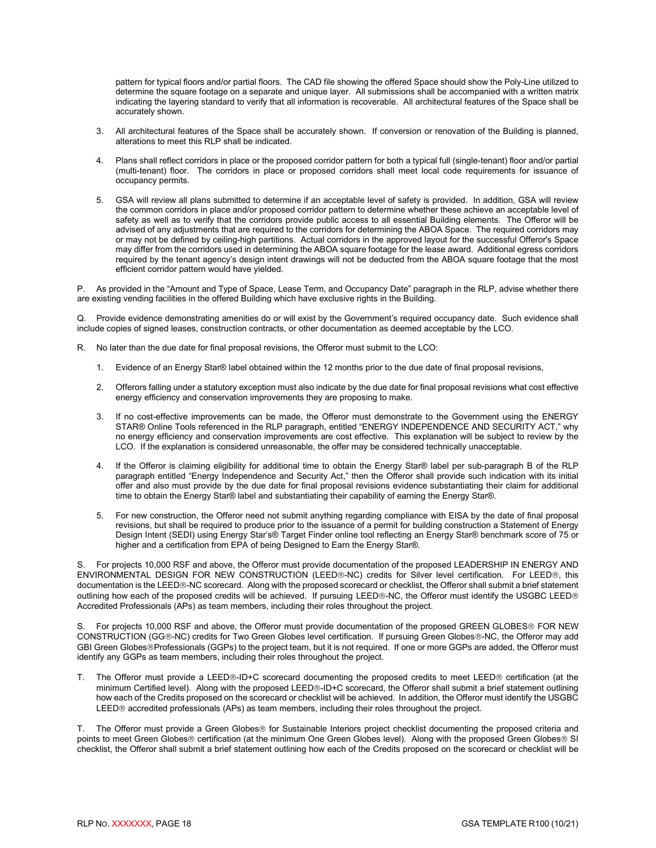pattern for typical floors and/or partial floors. The CAD file showing the offered Space should show the Poly-Line utilized to determine the square footage on a separate and unique layer. All submissions shall be accompanied with a written matrix indicating the layering standard to verify that all information is recoverable. All architectural features of the Space shall be accurately shown.

- 3. All architectural features of the Space shall be accurately shown. If conversion or renovation of the Building is planned, alterations to meet this RLP shall be indicated.
- 4. Plans shall reflect corridors in place or the proposed corridor pattern for both a typical full (single-tenant) floor and/or partial (multi-tenant) floor. The corridors in place or proposed corridors shall meet local code requirements for issuance of occupancy permits.
- 5. GSA will review all plans submitted to determine if an acceptable level of safety is provided. In addition, GSA will review the common corridors in place and/or proposed corridor pattern to determine whether these achieve an acceptable level of safety as well as to verify that the corridors provide public access to all essential Building elements. The Offeror will be advised of any adjustments that are required to the corridors for determining the ABOA Space. The required corridors may or may not be defined by ceiling-high partitions. Actual corridors in the approved layout for the successful Offeror's Space may differ from the corridors used in determining the ABOA square footage for the lease award. Additional egress corridors required by the tenant agency's design intent drawings will not be deducted from the ABOA square footage that the most efficient corridor pattern would have yielded.

P. As provided in the "Amount and Type of Space, Lease Term, and Occupancy Date" paragraph in the RLP, advise whether there are existing vending facilities in the offered Building which have exclusive rights in the Building.

Q. Provide evidence demonstrating amenities do or will exist by the Government's required occupancy date. Such evidence shall include copies of signed leases, construction contracts, or other documentation as deemed acceptable by the LCO.

- R. No later than the due date for final proposal revisions, the Offeror must submit to the LCO:
	- 1. Evidence of an Energy Star® label obtained within the 12 months prior to the due date of final proposal revisions,
	- 2. Offerors falling under a statutory exception must also indicate by the due date for final proposal revisions what cost effective energy efficiency and conservation improvements they are proposing to make.
	- 3. If no cost-effective improvements can be made, the Offeror must demonstrate to the Government using the ENERGY STAR® Online Tools referenced in the RLP paragraph, entitled "ENERGY INDEPENDENCE AND SECURITY ACT," why no energy efficiency and conservation improvements are cost effective. This explanation will be subject to review by the LCO. If the explanation is considered unreasonable, the offer may be considered technically unacceptable.
	- 4. If the Offeror is claiming eligibility for additional time to obtain the Energy Star® label per sub-paragraph B of the RLP paragraph entitled "Energy Independence and Security Act," then the Offeror shall provide such indication with its initial offer and also must provide by the due date for final proposal revisions evidence substantiating their claim for additional time to obtain the Energy Star® label and substantiating their capability of earning the Energy Star®.
	- 5. For new construction, the Offeror need not submit anything regarding compliance with EISA by the date of final proposal revisions, but shall be required to produce prior to the issuance of a permit for building construction a Statement of Energy Design Intent (SEDI) using Energy Star's® Target Finder online tool reflecting an Energy Star® benchmark score of 75 or higher and a certification from EPA of being Designed to Earn the Energy Star®.

S. For projects 10,000 RSF and above, the Offeror must provide documentation of the proposed LEADERSHIP IN ENERGY AND ENVIRONMENTAL DESIGN FOR NEW CONSTRUCTION (LEED®-NC) credits for Silver level certification. For LEED®, this documentation is the LEED®-NC scorecard. Along with the proposed scorecard or checklist, the Offeror shall submit a brief statement outlining how each of the proposed credits will be achieved. If pursuing LEED®-NC, the Offeror must identify the USGBC LEED® Accredited Professionals (APs) as team members, including their roles throughout the project.

S. For projects 10,000 RSF and above, the Offeror must provide documentation of the proposed GREEN GLOBES® FOR NEW CONSTRUCTION (GG®-NC) credits for Two Green Globes level certification. If pursuing Green Globes®-NC, the Offeror may add GBI Green Globes®Professionals (GGPs) to the project team, but it is not required. If one or more GGPs are added, the Offeror must identify any GGPs as team members, including their roles throughout the project.

T. The Offeror must provide a LEED®-ID+C scorecard documenting the proposed credits to meet LEED® certification (at the minimum Certified level). Along with the proposed LEED®-ID+C scorecard, the Offeror shall submit a brief statement outlining how each of the Credits proposed on the scorecard or checklist will be achieved. In addition, the Offeror must identify the USGBC LEED<sub>®</sub> accredited professionals (APs) as team members, including their roles throughout the project.

T. The Offeror must provide a Green Globes® for Sustainable Interiors project checklist documenting the proposed criteria and points to meet Green Globes® certification (at the minimum One Green Globes level). Along with the proposed Green Globes® SI checklist, the Offeror shall submit a brief statement outlining how each of the Credits proposed on the scorecard or checklist will be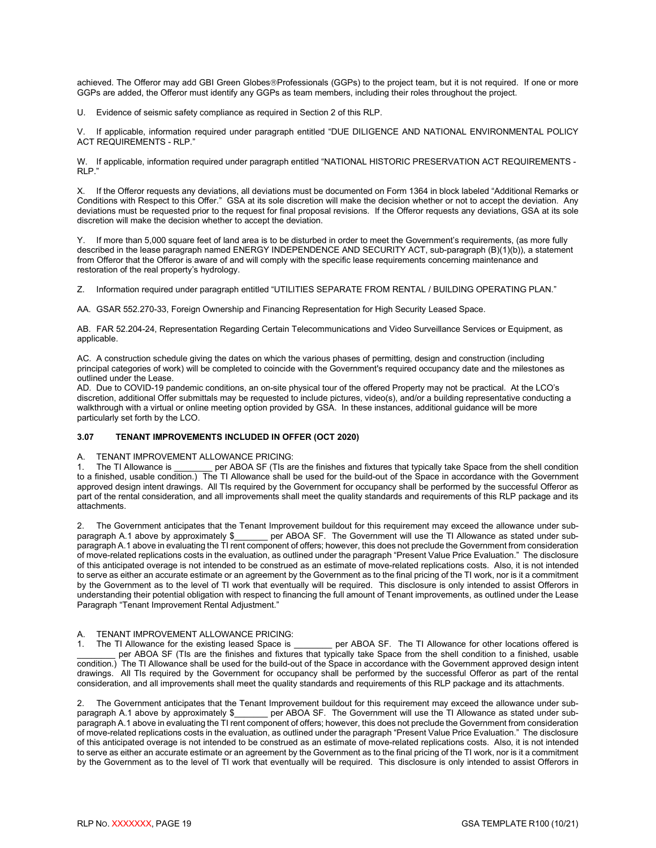achieved. The Offeror may add GBI Green Globes®Professionals (GGPs) to the project team, but it is not required. If one or more GGPs are added, the Offeror must identify any GGPs as team members, including their roles throughout the project.

U. Evidence of seismic safety compliance as required in Section 2 of this RLP.

V. If applicable, information required under paragraph entitled "DUE DILIGENCE AND NATIONAL ENVIRONMENTAL POLICY ACT REQUIREMENTS - RLP."

W. If applicable, information required under paragraph entitled "NATIONAL HISTORIC PRESERVATION ACT REQUIREMENTS -RLP."

X. If the Offeror requests any deviations, all deviations must be documented on Form 1364 in block labeled "Additional Remarks or Conditions with Respect to this Offer." GSA at its sole discretion will make the decision whether or not to accept the deviation. Any deviations must be requested prior to the request for final proposal revisions. If the Offeror requests any deviations, GSA at its sole discretion will make the decision whether to accept the deviation.

Y. If more than 5,000 square feet of land area is to be disturbed in order to meet the Government's requirements, (as more fully described in the lease paragraph named ENERGY INDEPENDENCE AND SECURITY ACT, sub-paragraph (B)(1)(b)), a statement from Offeror that the Offeror is aware of and will comply with the specific lease requirements concerning maintenance and restoration of the real property's hydrology.

Z. Information required under paragraph entitled "UTILITIES SEPARATE FROM RENTAL / BUILDING OPERATING PLAN."

AA. GSAR 552.270-33, Foreign Ownership and Financing Representation for High Security Leased Space.

AB. FAR 52.204-24, Representation Regarding Certain Telecommunications and Video Surveillance Services or Equipment, as applicable.

AC. A construction schedule giving the dates on which the various phases of permitting, design and construction (including principal categories of work) will be completed to coincide with the Government's required occupancy date and the milestones as outlined under the Lease.

AD. Due to COVID-19 pandemic conditions, an on-site physical tour of the offered Property may not be practical. At the LCO's discretion, additional Offer submittals may be requested to include pictures, video(s), and/or a building representative conducting a walkthrough with a virtual or online meeting option provided by GSA. In these instances, additional guidance will be more particularly set forth by the LCO.

#### <span id="page-21-0"></span>**3.07 TENANT IMPROVEMENTS INCLUDED IN OFFER (OCT 2020)**

#### A. TENANT IMPROVEMENT ALLOWANCE PRICING:

1. The TI Allowance is \_\_\_\_\_\_\_\_ per ABOA SF (TIs are the finishes and fixtures that typically take Space from the shell condition to a finished, usable condition.) The TI Allowance shall be used for the build-out of the Space in accordance with the Government approved design intent drawings. All TIs required by the Government for occupancy shall be performed by the successful Offeror as part of the rental consideration, and all improvements shall meet the quality standards and requirements of this RLP package and its attachments.

2. The Government anticipates that the Tenant Improvement buildout for this requirement may exceed the allowance under subparagraph A.1 above by approximately \$\_\_\_\_\_\_\_ per ABOA SF. The Government will use the TI Allowance as stated under subparagraph A.1 above in evaluating the TI rent component of offers; however, this does not preclude the Government from consideration of move-related replications costs in the evaluation, as outlined under the paragraph "Present Value Price Evaluation." The disclosure of this anticipated overage is not intended to be construed as an estimate of move-related replications costs. Also, it is not intended to serve as either an accurate estimate or an agreement by the Government as to the final pricing of the TI work, nor is it a commitment by the Government as to the level of TI work that eventually will be required. This disclosure is only intended to assist Offerors in understanding their potential obligation with respect to financing the full amount of Tenant improvements, as outlined under the Lease Paragraph "Tenant Improvement Rental Adjustment."

A. TENANT IMPROVEMENT ALLOWANCE PRICING:<br>1. The TI Allowance for the existing leased Space is

1. The TI Allowance for the existing leased Space is example per ABOA SF. The TI Allowance for other locations offered is per ABOA SF (TIs are the finishes and fixtures that typically take Space from the shell condition to a finished, usable condition.) The TI Allowance shall be used for the build-out of the Space in accordance with the Government approved design intent drawings. All TIs required by the Government for occupancy shall be performed by the successful Offeror as part of the rental consideration, and all improvements shall meet the quality standards and requirements of this RLP package and its attachments.

2. The Government anticipates that the Tenant Improvement buildout for this requirement may exceed the allowance under sub-<br>paragraph A.1 above by approximately \$\_\_\_\_\_\_ per ABOA SF. The Government will use the TI Allowance per ABOA SF. The Government will use the TI Allowance as stated under subparagraph A.1 above in evaluating the TI rent component of offers; however, this does not preclude the Government from consideration of move-related replications costs in the evaluation, as outlined under the paragraph "Present Value Price Evaluation." The disclosure of this anticipated overage is not intended to be construed as an estimate of move-related replications costs. Also, it is not intended to serve as either an accurate estimate or an agreement by the Government as to the final pricing of the TI work, nor is it a commitment by the Government as to the level of TI work that eventually will be required. This disclosure is only intended to assist Offerors in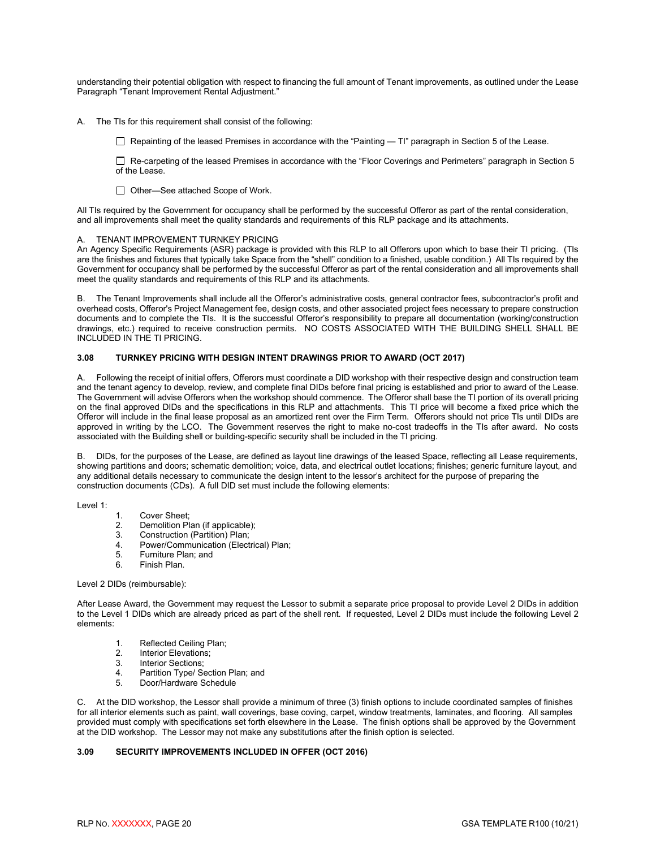understanding their potential obligation with respect to financing the full amount of Tenant improvements, as outlined under the Lease Paragraph "Tenant Improvement Rental Adjustment."

A. The TIs for this requirement shall consist of the following:

 $\Box$  Repainting of the leased Premises in accordance with the "Painting  $-$  TI" paragraph in Section 5 of the Lease.

 Re-carpeting of the leased Premises in accordance with the "Floor Coverings and Perimeters" paragraph in Section 5 of the Lease.

□ Other—See attached Scope of Work.

All TIs required by the Government for occupancy shall be performed by the successful Offeror as part of the rental consideration, and all improvements shall meet the quality standards and requirements of this RLP package and its attachments.

#### A. TENANT IMPROVEMENT TURNKEY PRICING

An Agency Specific Requirements (ASR) package is provided with this RLP to all Offerors upon which to base their TI pricing. (TIs are the finishes and fixtures that typically take Space from the "shell" condition to a finished, usable condition.) All TIs required by the Government for occupancy shall be performed by the successful Offeror as part of the rental consideration and all improvements shall meet the quality standards and requirements of this RLP and its attachments.

B.The Tenant Improvements shall include all the Offeror's administrative costs, general contractor fees, subcontractor's profit and overhead costs, Offeror's Project Management fee, design costs, and other associated project fees necessary to prepare construction documents and to complete the TIs. It is the successful Offeror's responsibility to prepare all documentation (working/construction drawings, etc.) required to receive construction permits. NO COSTS ASSOCIATED WITH THE BUILDING SHELL SHALL BE INCLUDED IN THE TI PRICING.

#### <span id="page-22-0"></span>**3.08 TURNKEY PRICING WITH DESIGN INTENT DRAWINGS PRIOR TO AWARD (OCT 2017)**

A. Following the receipt of initial offers, Offerors must coordinate a DID workshop with their respective design and construction team and the tenant agency to develop, review, and complete final DIDs before final pricing is established and prior to award of the Lease. The Government will advise Offerors when the workshop should commence. The Offeror shall base the TI portion of its overall pricing on the final approved DIDs and the specifications in this RLP and attachments. This TI price will become a fixed price which the Offeror will include in the final lease proposal as an amortized rent over the Firm Term. Offerors should not price TIs until DIDs are approved in writing by the LCO. The Government reserves the right to make no-cost tradeoffs in the TIs after award. No costs associated with the Building shell or building-specific security shall be included in the TI pricing.

B. DIDs, for the purposes of the Lease, are defined as layout line drawings of the leased Space, reflecting all Lease requirements, showing partitions and doors; schematic demolition; voice, data, and electrical outlet locations; finishes; generic furniture layout, and any additional details necessary to communicate the design intent to the lessor's architect for the purpose of preparing the construction documents (CDs). A full DID set must include the following elements:

Level 1:

- 1. Cover Sheet;<br>2. Demolition Pla
- 2. Demolition Plan (if applicable);<br>3. Construction (Partition) Plan:
- Construction (Partition) Plan;
- 4. Power/Communication (Electrical) Plan;<br>5. Furniture Plan: and
- 5. Furniture Plan; and<br>6. Finish Plan
- Finish Plan.

#### Level 2 DIDs (reimbursable):

After Lease Award, the Government may request the Lessor to submit a separate price proposal to provide Level 2 DIDs in addition to the Level 1 DIDs which are already priced as part of the shell rent. If requested, Level 2 DIDs must include the following Level 2 elements:

- 1. Reflected Ceiling Plan;<br>2. Interior Elevations;
- Interior Elevations;
- 3. Interior Sections;<br>4. Partition Type/ Se
- 4. Partition Type/ Section Plan; and<br>5. Door/Hardware Schedule
- Door/Hardware Schedule

C. At the DID workshop, the Lessor shall provide a minimum of three (3) finish options to include coordinated samples of finishes for all interior elements such as paint, wall coverings, base coving, carpet, window treatments, laminates, and flooring. All samples provided must comply with specifications set forth elsewhere in the Lease. The finish options shall be approved by the Government at the DID workshop. The Lessor may not make any substitutions after the finish option is selected.

#### <span id="page-22-1"></span>**3.09 SECURITY IMPROVEMENTS INCLUDED IN OFFER (OCT 2016)**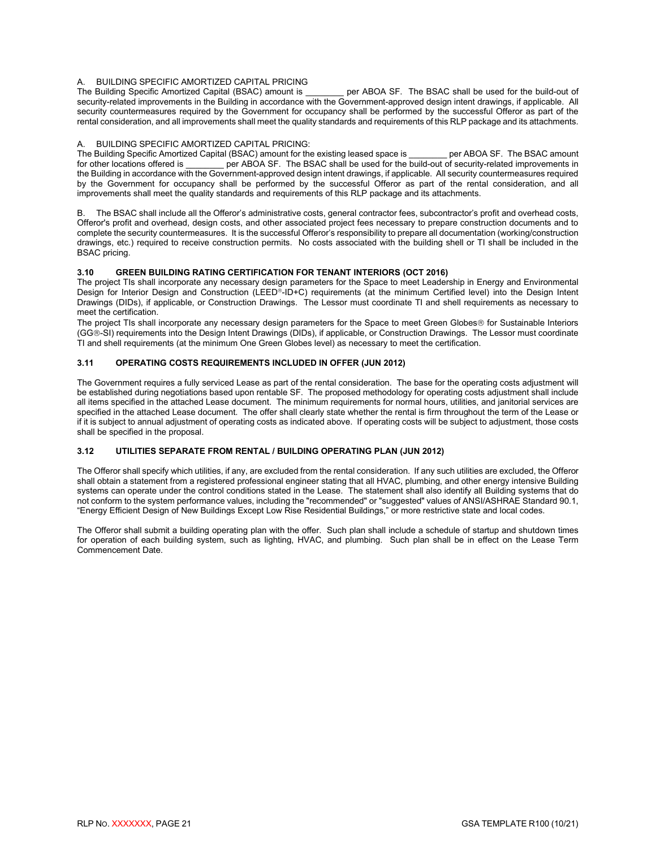### A. BUILDING SPECIFIC AMORTIZED CAPITAL PRICING<br>The Building Specific Amortized Capital (BSAC) amount is

per ABOA SF. The BSAC shall be used for the build-out of security-related improvements in the Building in accordance with the Government-approved design intent drawings, if applicable. All security countermeasures required by the Government for occupancy shall be performed by the successful Offeror as part of the rental consideration, and all improvements shall meet the quality standards and requirements of this RLP package and its attachments.

#### A. BUILDING SPECIFIC AMORTIZED CAPITAL PRICING:

The Building Specific Amortized Capital (BSAC) amount for the existing leased space is \_\_\_\_\_\_\_\_ per ABOA SF. The BSAC amount for other locations offered is per ABOA SF. The BSAC shall be used for the build-out of securityper ABOA SF. The BSAC shall be used for the build-out of security-related improvements in the Building in accordance with the Government-approved design intent drawings, if applicable. All security countermeasures required by the Government for occupancy shall be performed by the successful Offeror as part of the rental consideration, and all improvements shall meet the quality standards and requirements of this RLP package and its attachments.

B. The BSAC shall include all the Offeror's administrative costs, general contractor fees, subcontractor's profit and overhead costs, Offeror's profit and overhead, design costs, and other associated project fees necessary to prepare construction documents and to complete the security countermeasures. It is the successful Offeror's responsibility to prepare all documentation (working/construction drawings, etc.) required to receive construction permits. No costs associated with the building shell or TI shall be included in the BSAC pricing.

#### <span id="page-23-0"></span>**3.10 GREEN BUILDING RATING CERTIFICATION FOR TENANT INTERIORS (OCT 2016)**

The project TIs shall incorporate any necessary design parameters for the Space to meet Leadership in Energy and Environmental Design for Interior Design and Construction (LEED<sup>®</sup>-ID+C) requirements (at the minimum Certified level) into the Design Intent Drawings (DIDs), if applicable, or Construction Drawings. The Lessor must coordinate TI and shell requirements as necessary to meet the certification.

The project TIs shall incorporate any necessary design parameters for the Space to meet Green Globes® for Sustainable Interiors (GG-SI) requirements into the Design Intent Drawings (DIDs), if applicable, or Construction Drawings. The Lessor must coordinate TI and shell requirements (at the minimum One Green Globes level) as necessary to meet the certification.

#### <span id="page-23-1"></span>**3.11 OPERATING COSTS REQUIREMENTS INCLUDED IN OFFER (JUN 2012)**

The Government requires a fully serviced Lease as part of the rental consideration. The base for the operating costs adjustment will be established during negotiations based upon rentable SF. The proposed methodology for operating costs adjustment shall include all items specified in the attached Lease document. The minimum requirements for normal hours, utilities, and janitorial services are specified in the attached Lease document. The offer shall clearly state whether the rental is firm throughout the term of the Lease or if it is subject to annual adjustment of operating costs as indicated above. If operating costs will be subject to adjustment, those costs shall be specified in the proposal.

#### <span id="page-23-2"></span>**3.12 UTILITIES SEPARATE FROM RENTAL / BUILDING OPERATING PLAN (JUN 2012)**

The Offeror shall specify which utilities, if any, are excluded from the rental consideration. If any such utilities are excluded, the Offeror shall obtain a statement from a registered professional engineer stating that all HVAC, plumbing, and other energy intensive Building systems can operate under the control conditions stated in the Lease. The statement shall also identify all Building systems that do not conform to the system performance values, including the "recommended" or "suggested" values of ANSI/ASHRAE Standard 90.1, "Energy Efficient Design of New Buildings Except Low Rise Residential Buildings," or more restrictive state and local codes.

The Offeror shall submit a building operating plan with the offer. Such plan shall include a schedule of startup and shutdown times for operation of each building system, such as lighting, HVAC, and plumbing. Such plan shall be in effect on the Lease Term Commencement Date.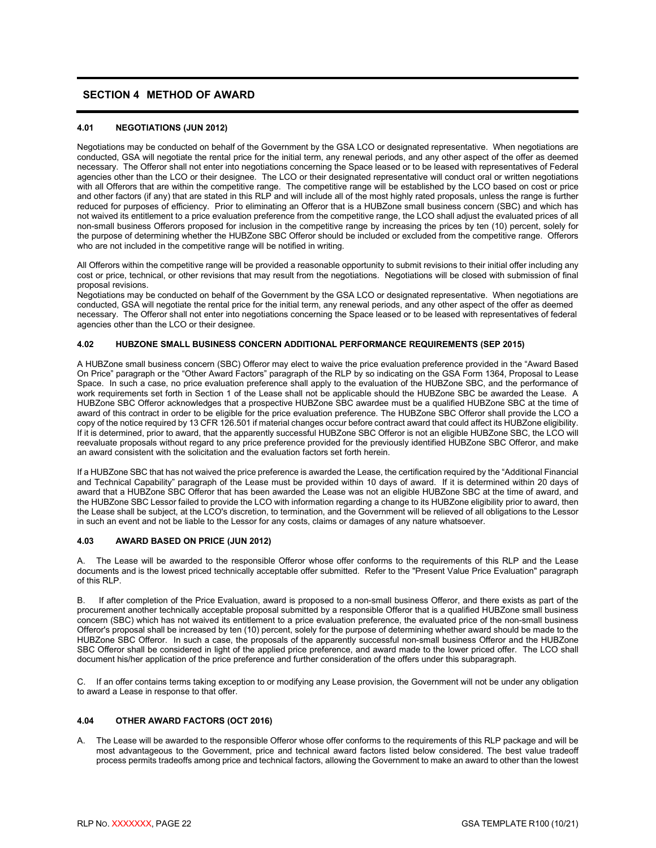#### <span id="page-24-0"></span>**SECTION 4 METHOD OF AWARD**

#### <span id="page-24-1"></span>**4.01 NEGOTIATIONS (JUN 2012)**

Negotiations may be conducted on behalf of the Government by the GSA LCO or designated representative. When negotiations are conducted, GSA will negotiate the rental price for the initial term, any renewal periods, and any other aspect of the offer as deemed necessary. The Offeror shall not enter into negotiations concerning the Space leased or to be leased with representatives of Federal agencies other than the LCO or their designee. The LCO or their designated representative will conduct oral or written negotiations with all Offerors that are within the competitive range. The competitive range will be established by the LCO based on cost or price and other factors (if any) that are stated in this RLP and will include all of the most highly rated proposals, unless the range is further reduced for purposes of efficiency. Prior to eliminating an Offeror that is a HUBZone small business concern (SBC) and which has not waived its entitlement to a price evaluation preference from the competitive range, the LCO shall adjust the evaluated prices of all non-small business Offerors proposed for inclusion in the competitive range by increasing the prices by ten (10) percent, solely for the purpose of determining whether the HUBZone SBC Offeror should be included or excluded from the competitive range. Offerors who are not included in the competitive range will be notified in writing.

All Offerors within the competitive range will be provided a reasonable opportunity to submit revisions to their initial offer including any cost or price, technical, or other revisions that may result from the negotiations. Negotiations will be closed with submission of final proposal revisions.

Negotiations may be conducted on behalf of the Government by the GSA LCO or designated representative. When negotiations are conducted, GSA will negotiate the rental price for the initial term, any renewal periods, and any other aspect of the offer as deemed necessary. The Offeror shall not enter into negotiations concerning the Space leased or to be leased with representatives of federal agencies other than the LCO or their designee.

#### <span id="page-24-2"></span>**4.02 HUBZONE SMALL BUSINESS CONCERN ADDITIONAL PERFORMANCE REQUIREMENTS (SEP 2015)**

A HUBZone small business concern (SBC) Offeror may elect to waive the price evaluation preference provided in the "Award Based On Price" paragraph or the "Other Award Factors" paragraph of the RLP by so indicating on the GSA Form 1364, Proposal to Lease Space. In such a case, no price evaluation preference shall apply to the evaluation of the HUBZone SBC, and the performance of work requirements set forth in Section 1 of the Lease shall not be applicable should the HUBZone SBC be awarded the Lease. A HUBZone SBC Offeror acknowledges that a prospective HUBZone SBC awardee must be a qualified HUBZone SBC at the time of award of this contract in order to be eligible for the price evaluation preference. The HUBZone SBC Offeror shall provide the LCO a copy of the notice required by 13 CFR 126.501 if material changes occur before contract award that could affect its HUBZone eligibility. If it is determined, prior to award, that the apparently successful HUBZone SBC Offeror is not an eligible HUBZone SBC, the LCO will reevaluate proposals without regard to any price preference provided for the previously identified HUBZone SBC Offeror, and make an award consistent with the solicitation and the evaluation factors set forth herein.

If a HUBZone SBC that has not waived the price preference is awarded the Lease, the certification required by the "Additional Financial and Technical Capability" paragraph of the Lease must be provided within 10 days of award. If it is determined within 20 days of award that a HUBZone SBC Offeror that has been awarded the Lease was not an eligible HUBZone SBC at the time of award, and the HUBZone SBC Lessor failed to provide the LCO with information regarding a change to its HUBZone eligibility prior to award, then the Lease shall be subject, at the LCO's discretion, to termination, and the Government will be relieved of all obligations to the Lessor in such an event and not be liable to the Lessor for any costs, claims or damages of any nature whatsoever.

#### <span id="page-24-3"></span>**4.03 AWARD BASED ON PRICE (JUN 2012)**

A. The Lease will be awarded to the responsible Offeror whose offer conforms to the requirements of this RLP and the Lease documents and is the lowest priced technically acceptable offer submitted. Refer to the "Present Value Price Evaluation" paragraph of this RLP.

B. If after completion of the Price Evaluation, award is proposed to a non-small business Offeror, and there exists as part of the procurement another technically acceptable proposal submitted by a responsible Offeror that is a qualified HUBZone small business concern (SBC) which has not waived its entitlement to a price evaluation preference, the evaluated price of the non-small business Offeror's proposal shall be increased by ten (10) percent, solely for the purpose of determining whether award should be made to the HUBZone SBC Offeror. In such a case, the proposals of the apparently successful non-small business Offeror and the HUBZone SBC Offeror shall be considered in light of the applied price preference, and award made to the lower priced offer. The LCO shall document his/her application of the price preference and further consideration of the offers under this subparagraph.

C. If an offer contains terms taking exception to or modifying any Lease provision, the Government will not be under any obligation to award a Lease in response to that offer.

#### <span id="page-24-4"></span>**4.04 OTHER AWARD FACTORS (OCT 2016)**

A. The Lease will be awarded to the responsible Offeror whose offer conforms to the requirements of this RLP package and will be most advantageous to the Government, price and technical award factors listed below considered. The best value tradeoff process permits tradeoffs among price and technical factors, allowing the Government to make an award to other than the lowest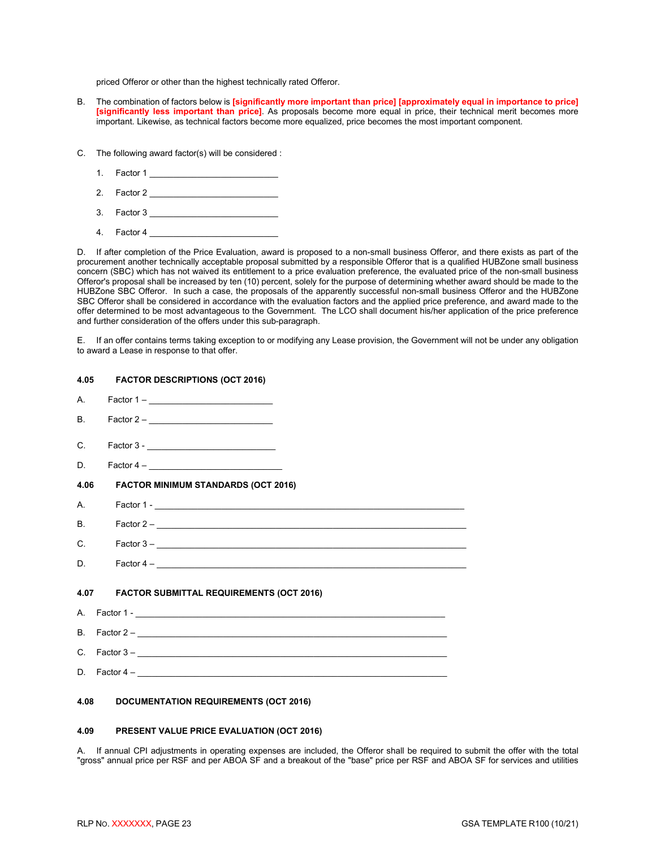priced Offeror or other than the highest technically rated Offeror.

- B. The combination of factors below is **[significantly more important than price] [approximately equal in importance to price] [significantly less important than price]**. As proposals become more equal in price, their technical merit becomes more important. Likewise, as technical factors become more equalized, price becomes the most important component.
- C. The following award factor(s) will be considered :
	- 1. Factor 1 \_\_\_\_\_\_\_\_\_\_\_\_\_\_\_\_\_\_\_\_\_\_\_\_\_\_\_
	- 2. Factor 2 \_\_\_\_\_\_\_\_\_\_\_\_\_\_\_\_\_\_\_\_\_\_\_\_\_\_\_
	- 3. Factor 3
	- 4. Factor 4

D. If after completion of the Price Evaluation, award is proposed to a non-small business Offeror, and there exists as part of the procurement another technically acceptable proposal submitted by a responsible Offeror that is a qualified HUBZone small business concern (SBC) which has not waived its entitlement to a price evaluation preference, the evaluated price of the non-small business Offeror's proposal shall be increased by ten (10) percent, solely for the purpose of determining whether award should be made to the HUBZone SBC Offeror. In such a case, the proposals of the apparently successful non-small business Offeror and the HUBZone SBC Offeror shall be considered in accordance with the evaluation factors and the applied price preference, and award made to the offer determined to be most advantageous to the Government. The LCO shall document his/her application of the price preference and further consideration of the offers under this sub-paragraph.

E. If an offer contains terms taking exception to or modifying any Lease provision, the Government will not be under any obligation to award a Lease in response to that offer.

<span id="page-25-1"></span><span id="page-25-0"></span>

| 4.05          | <b>FACTOR DESCRIPTIONS (OCT 2016)</b>         |                                     |
|---------------|-----------------------------------------------|-------------------------------------|
| A.            |                                               |                                     |
| <b>B.</b>     |                                               |                                     |
| $\mathcal{C}$ |                                               |                                     |
| D.            |                                               |                                     |
| 4.06          | <b>FACTOR MINIMUM STANDARDS (OCT 2016)</b>    |                                     |
| A             |                                               |                                     |
| B.            |                                               |                                     |
| C.            |                                               |                                     |
| D.            |                                               | Factor 4 – $\overline{\phantom{a}}$ |
|               | 4.07 FACTOR SUBMITTAL REQUIREMENTS (OCT 2016) |                                     |
|               |                                               |                                     |
|               |                                               |                                     |
|               |                                               | C. Factor 3 – $\frac{1}{2}$         |
|               |                                               |                                     |
|               |                                               |                                     |

### <span id="page-25-3"></span><span id="page-25-2"></span>**4.08 DOCUMENTATION REQUIREMENTS (OCT 2016)**

#### <span id="page-25-4"></span>**4.09 PRESENT VALUE PRICE EVALUATION (OCT 2016)**

A. If annual CPI adjustments in operating expenses are included, the Offeror shall be required to submit the offer with the total "gross" annual price per RSF and per ABOA SF and a breakout of the "base" price per RSF and ABOA SF for services and utilities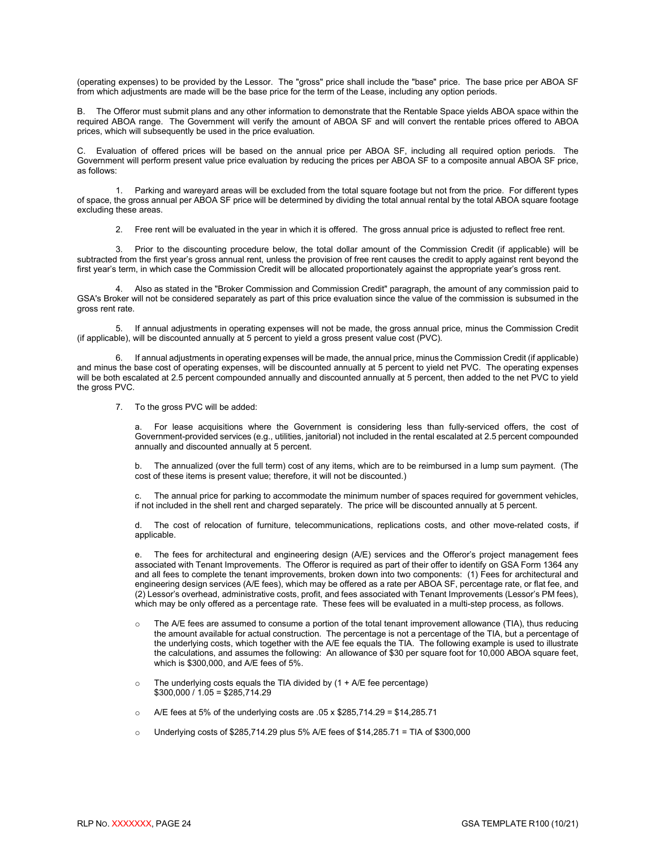(operating expenses) to be provided by the Lessor. The "gross" price shall include the "base" price. The base price per ABOA SF from which adjustments are made will be the base price for the term of the Lease, including any option periods.

B. The Offeror must submit plans and any other information to demonstrate that the Rentable Space yields ABOA space within the required ABOA range. The Government will verify the amount of ABOA SF and will convert the rentable prices offered to ABOA prices, which will subsequently be used in the price evaluation.

C. Evaluation of offered prices will be based on the annual price per ABOA SF, including all required option periods. The Government will perform present value price evaluation by reducing the prices per ABOA SF to a composite annual ABOA SF price, as follows:

1. Parking and wareyard areas will be excluded from the total square footage but not from the price. For different types of space, the gross annual per ABOA SF price will be determined by dividing the total annual rental by the total ABOA square footage excluding these areas.

2. Free rent will be evaluated in the year in which it is offered. The gross annual price is adjusted to reflect free rent.

3. Prior to the discounting procedure below, the total dollar amount of the Commission Credit (if applicable) will be subtracted from the first year's gross annual rent, unless the provision of free rent causes the credit to apply against rent beyond the first year's term, in which case the Commission Credit will be allocated proportionately against the appropriate year's gross rent.

4. Also as stated in the "Broker Commission and Commission Credit" paragraph, the amount of any commission paid to GSA's Broker will not be considered separately as part of this price evaluation since the value of the commission is subsumed in the gross rent rate.

5. If annual adjustments in operating expenses will not be made, the gross annual price, minus the Commission Credit (if applicable), will be discounted annually at 5 percent to yield a gross present value cost (PVC).

6. If annual adjustments in operating expenses will be made, the annual price, minus the Commission Credit (if applicable) and minus the base cost of operating expenses, will be discounted annually at 5 percent to yield net PVC. The operating expenses will be both escalated at 2.5 percent compounded annually and discounted annually at 5 percent, then added to the net PVC to yield the gross PVC.

7. To the gross PVC will be added:

For lease acquisitions where the Government is considering less than fully-serviced offers, the cost of Government-provided services (e.g., utilities, janitorial) not included in the rental escalated at 2.5 percent compounded annually and discounted annually at 5 percent.

b. The annualized (over the full term) cost of any items, which are to be reimbursed in a lump sum payment. (The cost of these items is present value; therefore, it will not be discounted.)

The annual price for parking to accommodate the minimum number of spaces required for government vehicles, if not included in the shell rent and charged separately. The price will be discounted annually at 5 percent.

The cost of relocation of furniture, telecommunications, replications costs, and other move-related costs, if applicable.

e. The fees for architectural and engineering design (A/E) services and the Offeror's project management fees associated with Tenant Improvements. The Offeror is required as part of their offer to identify on GSA Form 1364 any and all fees to complete the tenant improvements, broken down into two components: (1) Fees for architectural and engineering design services (A/E fees), which may be offered as a rate per ABOA SF, percentage rate, or flat fee, and (2) Lessor's overhead, administrative costs, profit, and fees associated with Tenant Improvements (Lessor's PM fees), which may be only offered as a percentage rate. These fees will be evaluated in a multi-step process, as follows.

- o The A/E fees are assumed to consume a portion of the total tenant improvement allowance (TIA), thus reducing the amount available for actual construction. The percentage is not a percentage of the TIA, but a percentage of the underlying costs, which together with the A/E fee equals the TIA. The following example is used to illustrate the calculations, and assumes the following: An allowance of \$30 per square foot for 10,000 ABOA square feet, which is \$300,000, and A/E fees of 5%.
- $\circ$  The underlying costs equals the TIA divided by (1 + A/E fee percentage)  $$300,000 / 1.05 = $285,714.29$
- $\circ$  A/E fees at 5% of the underlying costs are .05 x \$285,714.29 = \$14,285.71
- $\circ$  Underlying costs of \$285,714.29 plus 5% A/E fees of \$14,285.71 = TIA of \$300,000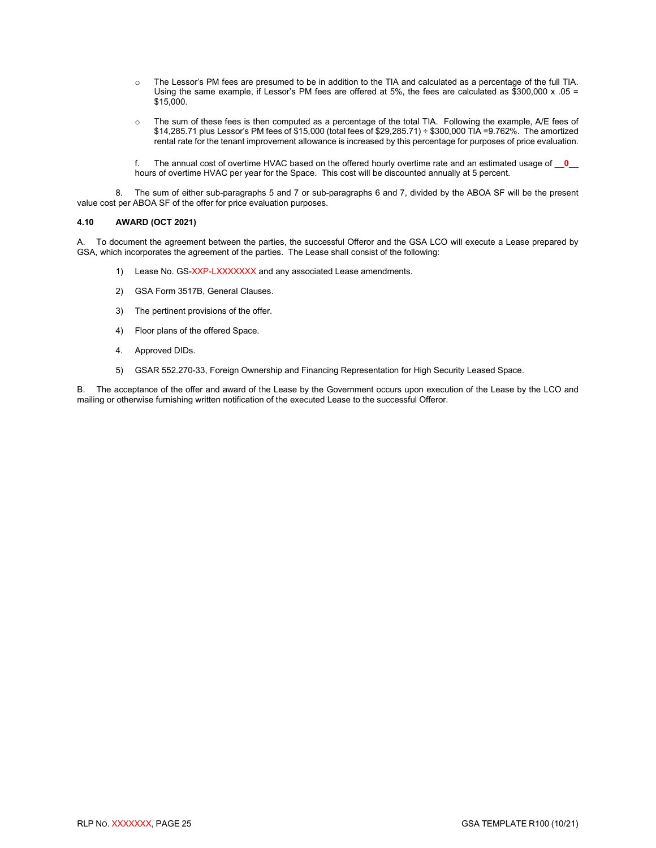- o The Lessor's PM fees are presumed to be in addition to the TIA and calculated as a percentage of the full TIA. Using the same example, if Lessor's PM fees are offered at 5%, the fees are calculated as  $$300,000 \times .05 =$ \$15,000.
- o The sum of these fees is then computed as a percentage of the total TIA. Following the example, A/E fees of \$14,285.71 plus Lessor's PM fees of \$15,000 (total fees of \$29,285.71) ÷ \$300,000 TIA =9.762%. The amortized rental rate for the tenant improvement allowance is increased by this percentage for purposes of price evaluation.

f. The annual cost of overtime HVAC based on the offered hourly overtime rate and an estimated usage of \_\_**0**\_\_ hours of overtime HVAC per year for the Space. This cost will be discounted annually at 5 percent.

8. The sum of either sub-paragraphs 5 and 7 or sub-paragraphs 6 and 7, divided by the ABOA SF will be the present value cost per ABOA SF of the offer for price evaluation purposes.

#### <span id="page-27-0"></span>**4.10 AWARD (OCT 2021)**

A. To document the agreement between the parties, the successful Offeror and the GSA LCO will execute a Lease prepared by GSA, which incorporates the agreement of the parties. The Lease shall consist of the following:

- 1) Lease No. GS-XXP-LXXXXXXX and any associated Lease amendments.
- 2) GSA Form 3517B, General Clauses.
- 3) The pertinent provisions of the offer.
- 4) Floor plans of the offered Space.
- 4. Approved DIDs.
- 5) GSAR 552.270-33, Foreign Ownership and Financing Representation for High Security Leased Space.

B. The acceptance of the offer and award of the Lease by the Government occurs upon execution of the Lease by the LCO and mailing or otherwise furnishing written notification of the executed Lease to the successful Offeror.